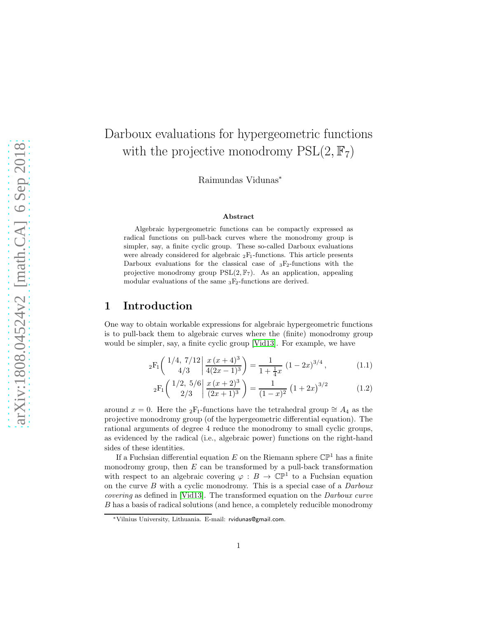# Darboux evaluations for hypergeometric functions with the projective monodromy  $PSL(2, \mathbb{F}_7)$

Raimundas Vidunas<sup>∗</sup>

#### <span id="page-0-0"></span>Abstract

Algebraic hypergeometric functions can be compactly expressed as radical functions on pull-back curves where the monodromy group is simpler, say, a finite cyclic group. These so-called Darboux evaluations were already considered for algebraic  ${}_2F_1$ -functions. This article presents Darboux evaluations for the classical case of  ${}_{3}F_{2}$ -functions with the projective monodromy group  $PSL(2, \mathbb{F}_7)$ . As an application, appealing modular evaluations of the same  $_3F_2$ -functions are derived.

### 1 Introduction

One way to obtain workable expressions for algebraic hypergeometric functions is to pull-back them to algebraic curves where the (finite) monodromy group would be simpler, say, a finite cyclic group [\[Vid13\]](#page-36-0). For example, we have

$$
{}_2F_1\left(\begin{array}{c} 1/4, 7/12 \mid \frac{x(x+4)^3}{4(2x-1)^3} \end{array}\right) = \frac{1}{1 + \frac{1}{4}x} (1 - 2x)^{3/4},\tag{1.1}
$$

$$
{}_2F_1\left(\frac{1/2, 5/6}{2/3}\middle|\frac{x(x+2)^3}{(2x+1)^3}\right) = \frac{1}{(1-x)^2} \left(1+2x\right)^{3/2} \tag{1.2}
$$

around  $x = 0$ . Here the <sub>2</sub>F<sub>1</sub>-functions have the tetrahedral group  $\cong A_4$  as the projective monodromy group (of the hypergeometric differential equation). The rational arguments of degree 4 reduce the monodromy to small cyclic groups, as evidenced by the radical (i.e., algebraic power) functions on the right-hand sides of these identities.

If a Fuchsian differential equation E on the Riemann sphere  $\mathbb{CP}^1$  has a finite monodromy group, then  $E$  can be transformed by a pull-back transformation with respect to an algebraic covering  $\varphi : B \to \mathbb{CP}^1$  to a Fuchsian equation on the curve  $B$  with a cyclic monodromy. This is a special case of a  $Darboux$ covering as defined in [\[Vid13\]](#page-36-0). The transformed equation on the Darboux curve B has a basis of radical solutions (and hence, a completely reducible monodromy

<sup>∗</sup>Vilnius University, Lithuania. E-mail: rvidunas@gmail.com.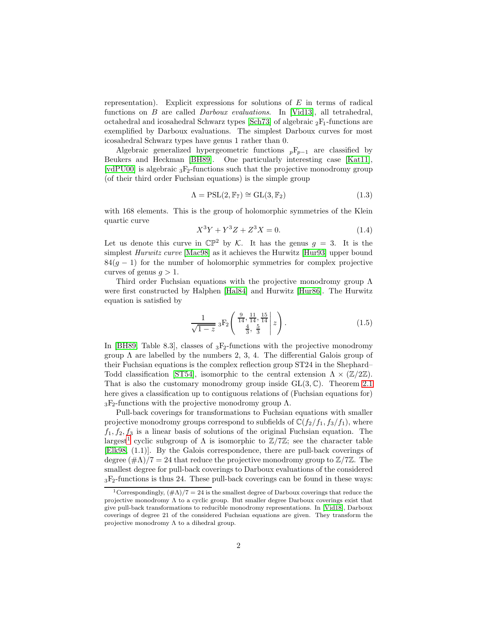representation). Explicit expressions for solutions of  $E$  in terms of radical functions on B are called Darboux evaluations. In [\[Vid13\]](#page-36-0), all tetrahedral, octahedral and icosahedral Schwarz types [\[Sch73\]](#page-36-1) of algebraic  $_2F_1$ -functions are exemplified by Darboux evaluations. The simplest Darboux curves for most icosahedral Schwarz types have genus 1 rather than 0.

Algebraic generalized hypergeometric functions  $pF_{p-1}$  are classified by Beukers and Heckman [\[BH89\]](#page-35-0). One particularly interesting case [\[Kat11\]](#page-35-1), [\[vdPU00\]](#page-35-2) is algebraic  ${}_{3}F_{2}$ -functions such that the projective monodromy group (of their third order Fuchsian equations) is the simple group

$$
\Lambda = \mathrm{PSL}(2, \mathbb{F}_7) \cong \mathrm{GL}(3, \mathbb{F}_2) \tag{1.3}
$$

with 168 elements. This is the group of holomorphic symmetries of the Klein quartic curve

<span id="page-1-1"></span>
$$
X^3Y + Y^3Z + Z^3X = 0.
$$
 (1.4)

Let us denote this curve in  $\mathbb{CP}^2$  by K. It has the genus  $g = 3$ . It is the simplest Hurwitz curve [\[Mac98\]](#page-35-3) as it achieves the Hurwitz [\[Hur93\]](#page-35-4) upper bound  $84(q - 1)$  for the number of holomorphic symmetries for complex projective curves of genus  $q > 1$ .

Third order Fuchsian equations with the projective monodromy group  $\Lambda$ were first constructed by Halphen [\[Hal84\]](#page-35-5) and Hurwitz [\[Hur86\]](#page-35-6). The Hurwitz equation is satisfied by

$$
\frac{1}{\sqrt{1-z}} 3F_2 \left( \begin{array}{c} \frac{9}{14}, \frac{11}{14}, \frac{15}{14} \\ \frac{4}{3}, \frac{5}{3} \end{array} \middle| z \right). \tag{1.5}
$$

In [\[BH89,](#page-35-0) Table 8.3], classes of  ${}_{3}F_{2}$ -functions with the projective monodromy group  $\Lambda$  are labelled by the numbers 2, 3, 4. The differential Galois group of their Fuchsian equations is the complex reflection group ST24 in the Shephard– Todd classification [\[ST54\]](#page-36-2), isomorphic to the central extension  $\Lambda \times (\mathbb{Z}/2\mathbb{Z})$ . That is also the customary monodromy group inside  $GL(3,\mathbb{C})$ . Theorem [2.1](#page-6-0) here gives a classification up to contiguous relations of (Fuchsian equations for)  $3F_2$ -functions with the projective monodromy group  $\Lambda$ .

Pull-back coverings for transformations to Fuchsian equations with smaller projective monodromy groups correspond to subfields of  $\mathbb{C}(f_2/f_1, f_3/f_1)$ , where  $f_1, f_2, f_3$  is a linear basis of solutions of the original Fuchsian equation. The largest<sup>[1](#page-1-0)</sup> cyclic subgroup of  $\Lambda$  is isomorphic to  $\mathbb{Z}/7\mathbb{Z}$ ; see the character table [\[Elk98,](#page-35-7) (1.1)]. By the Galois correspondence, there are pull-back coverings of degree  $(\# \Lambda)/7 = 24$  that reduce the projective monodromy group to  $\mathbb{Z}/7\mathbb{Z}$ . The smallest degree for pull-back coverings to Darboux evaluations of the considered  ${}_{3}F_{2}$ -functions is thus 24. These pull-back coverings can be found in these ways:

<span id="page-1-0"></span><sup>&</sup>lt;sup>1</sup>Correspondingly,  $(\# \Lambda)/7 = 24$  is the smallest degree of Darboux coverings that reduce the projective monodromy  $\Lambda$  to a cyclic group. But smaller degree Darboux coverings exist that give pull-back transformations to reducible monodromy representations. In [\[Vid18\]](#page-36-3), Darboux coverings of degree 21 of the considered Fuchsian equations are given. They transform the projective monodromy  $\Lambda$  to a dihedral group.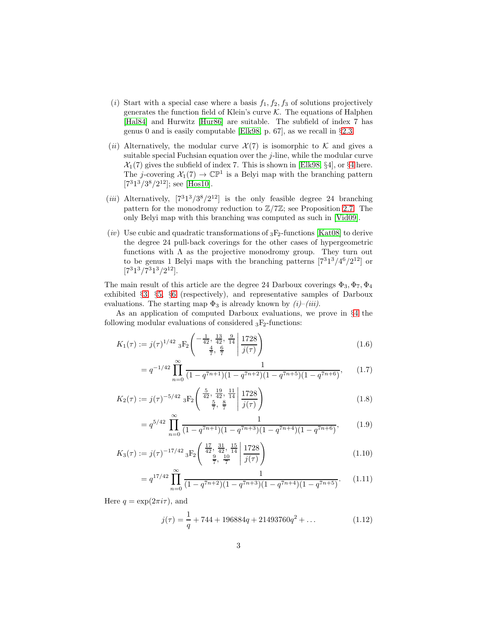- (i) Start with a special case where a basis  $f_1, f_2, f_3$  of solutions projectively generates the function field of Klein's curve  $K$ . The equations of Halphen [\[Hal84\]](#page-35-5) and Hurwitz [\[Hur86\]](#page-35-6) are suitable. The subfield of index 7 has genus 0 and is easily computable [\[Elk98,](#page-35-7) p. 67], as we recall in §[2.3.](#page-7-0)
- (ii) Alternatively, the modular curve  $\mathcal{X}(7)$  is isomorphic to K and gives a suitable special Fuchsian equation over the  $j$ -line, while the modular curve  $\mathcal{X}_1(7)$  gives the subfield of index 7. This is shown in [\[Elk98,](#page-35-7) §[4](#page-18-0)], or §4 here. The *j*-covering  $\mathcal{X}_1(7) \to \mathbb{CP}^1$  is a Belyi map with the branching pattern  $[7^31^3/3^8/2^{12}]$ ; see [\[Hos10\]](#page-35-8).
- (*iii*) Alternatively,  $[7^31^3/3^8/2^{12}]$  is the only feasible degree 24 branching pattern for the monodromy reduction to  $\mathbb{Z}/7\mathbb{Z}$ ; see Proposition [2.7.](#page-11-0) The only Belyi map with this branching was computed as such in [\[Vid09\]](#page-36-4).
- (iv) Use cubic and quadratic transformations of  ${}_{3}F_{2}$ -functions [\[Kat08\]](#page-35-9) to derive the degree 24 pull-back coverings for the other cases of hypergeometric functions with  $\Lambda$  as the projective monodromy group. They turn out to be genus 1 Belyi maps with the branching patterns  $[7^{3}1^{3}/4^{6}/2^{12}]$  or  $[7^31^3/7^31^3/2^{12}].$

The main result of this article are the degree 24 Darboux coverings  $\Phi_3$ ,  $\Phi_7$ ,  $\Phi_4$ exhibited §[3,](#page-13-0) §[5,](#page-26-0) §[6](#page-31-0) (respectively), and representative samples of Darboux evaluations. The starting map  $\Phi_3$  is already known by  $(i)$ –(iii).

As an application of computed Darboux evaluations, we prove in §[4](#page-18-0) the following modular evaluations of considered  $_3F_2$ -functions:

$$
K_1(\tau) := j(\tau)^{1/42} \, {}_{3}F_2\left( \begin{array}{c} -\frac{1}{42}, \frac{13}{42}, \frac{9}{14} \\ \frac{4}{7}, \frac{6}{7} \end{array} \bigg| \frac{1728}{j(\tau)} \right) \tag{1.6}
$$

<span id="page-2-3"></span><span id="page-2-0"></span>
$$
= q^{-1/42} \prod_{n=0}^{\infty} \frac{1}{(1 - q^{7n+1})(1 - q^{7n+2})(1 - q^{7n+5})(1 - q^{7n+6})},
$$
 (1.7)

$$
K_2(\tau) := j(\tau)^{-5/42} \, {}_{3}F_2\left( \begin{array}{c} \frac{5}{42}, \frac{19}{42}, \frac{11}{14} \\ \frac{5}{7}, \frac{8}{7} \end{array} \bigg| \frac{1728}{j(\tau)} \right) \tag{1.8}
$$

<span id="page-2-4"></span><span id="page-2-1"></span>
$$
= q^{5/42} \prod_{n=0}^{\infty} \frac{1}{(1 - q^{7n+1})(1 - q^{7n+3})(1 - q^{7n+4})(1 - q^{7n+6})},
$$
(1.9)

$$
K_3(\tau) := j(\tau)^{-17/42} {}_{3}F_2\left( \begin{array}{c} \frac{17}{42}, \frac{31}{42}, \frac{15}{14} \\ \frac{9}{7}, \frac{10}{7} \end{array} \bigg| \frac{1728}{j(\tau)} \right) \tag{1.10}
$$

$$
= q^{17/42} \prod_{n=0}^{\infty} \frac{1}{(1 - q^{7n+2})(1 - q^{7n+3})(1 - q^{7n+4})(1 - q^{7n+5})}.
$$
 (1.11)

Here  $q = \exp(2\pi i \tau)$ , and

<span id="page-2-6"></span><span id="page-2-5"></span><span id="page-2-2"></span>
$$
j(\tau) = \frac{1}{q} + 744 + 196884q + 21493760q^{2} + \dots
$$
 (1.12)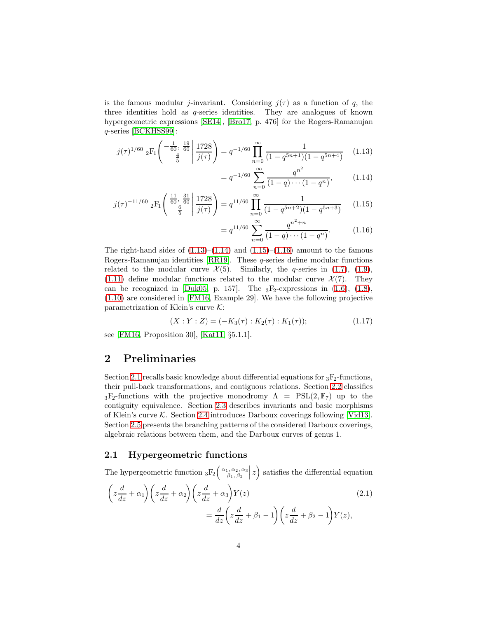is the famous modular j-invariant. Considering  $j(\tau)$  as a function of q, the three identities hold as q-series identities. They are analogues of known hypergeometric expressions [\[SE14\]](#page-36-5), [\[Bro17,](#page-35-10) p. 476] for the Rogers-Ramanujan q-series [\[BCKHSS99\]](#page-34-0):

$$
j(\tau)^{1/60} \; {}_2F_1\left( \begin{array}{c} -\frac{1}{60}, \frac{19}{60} \\ \frac{4}{5} \end{array} \middle| \frac{1728}{j(\tau)} \right) = q^{-1/60} \prod_{n=0}^{\infty} \frac{1}{(1 - q^{5n+1})(1 - q^{5n+4})} \quad (1.13)
$$

<span id="page-3-1"></span><span id="page-3-0"></span>
$$
= q^{-1/60} \sum_{n=0}^{\infty} \frac{q^{n^2}}{(1-q)\cdots(1-q^n)},
$$
 (1.14)

$$
j(\tau)^{-11/60} \, {}_{2}F_{1}\left(\begin{array}{c} \frac{11}{60}, \frac{31}{60} \\ \frac{6}{5} \end{array} \middle| \frac{1728}{j(\tau)}\right) = q^{11/60} \prod_{n=0}^{\infty} \frac{1}{(1-q^{5n+2})(1-q^{5n+3})} \tag{1.15}
$$

<span id="page-3-3"></span><span id="page-3-2"></span>
$$
= q^{11/60} \sum_{n=0}^{\infty} \frac{q^{n^2+n}}{(1-q)\cdots(1-q^n)}.
$$
 (1.16)

The right-hand sides of  $(1.13)$ – $(1.14)$  and  $(1.15)$ – $(1.16)$  amount to the famous Rogers-Ramanujan identities [\[RR19\]](#page-36-6). These q-series define modular functions related to the modular curve  $\mathcal{X}(5)$ . Similarly, the q-series in [\(1.7\)](#page-2-0), [\(1.9\)](#page-2-1), [\(1.11\)](#page-2-2) define modular functions related to the modular curve  $\mathcal{X}(7)$ . They can be recognized in [\[Duk05,](#page-35-11) p. 157]. The  $_3F_2$ -expressions in [\(1.6\)](#page-2-3), [\(1.8\)](#page-2-4), [\(1.10\)](#page-2-5) are considered in [\[FM16,](#page-35-12) Example 29]. We have the following projective parametrization of Klein's curve  $K$ :

<span id="page-3-6"></span>
$$
(X:Y:Z) = (-K_3(\tau):K_2(\tau):K_1(\tau));
$$
\n(1.17)

see [\[FM16,](#page-35-12) Proposition 30], [\[Kat11,](#page-35-1) §5.1.1].

### 2 Preliminaries

Section [2.1](#page-3-4) recalls basic knowledge about differential equations for  ${}_{3}F_{2}$ -functions, their pull-back transformations, and contiguous relations. Section [2.2](#page-6-1) classifies  $_3F_2$ -functions with the projective monodromy  $\Lambda = \text{PSL}(2, \mathbb{F}_7)$  up to the contiguity equivalence. Section [2.3](#page-7-0) describes invariants and basic morphisms of Klein's curve K. Section [2.4](#page-9-0) introduces Darboux coverings following [\[Vid13\]](#page-36-0). Section [2.5](#page-11-1) presents the branching patterns of the considered Darboux coverings, algebraic relations between them, and the Darboux curves of genus 1.

#### <span id="page-3-4"></span>2.1 Hypergeometric functions

The hypergeometric function  ${}_{3}F_{2} \left( \begin{array}{cc} \alpha_{1},\alpha_{2},\alpha_{3} \\ \beta_{1},\beta_{2} \end{array} \right)$  $|z\rangle$  satisfies the differential equation

<span id="page-3-5"></span>
$$
\left(z\frac{d}{dz} + \alpha_1\right)\left(z\frac{d}{dz} + \alpha_2\right)\left(z\frac{d}{dz} + \alpha_3\right)Y(z)
$$
\n
$$
= \frac{d}{dz}\left(z\frac{d}{dz} + \beta_1 - 1\right)\left(z\frac{d}{dz} + \beta_2 - 1\right)Y(z),
$$
\n(2.1)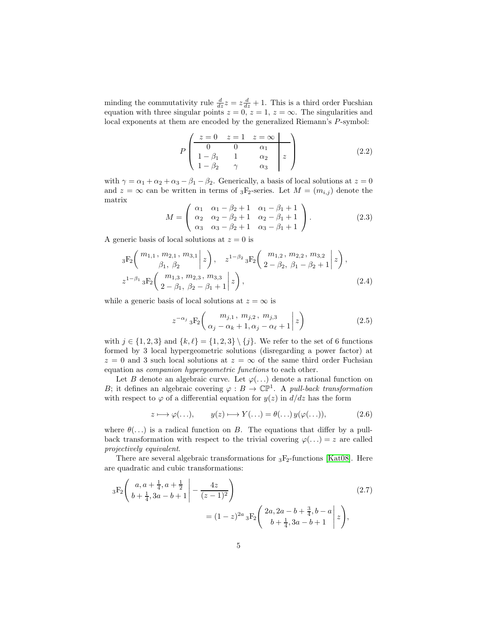minding the commutativity rule  $\frac{d}{dz}z = z\frac{d}{dz} + 1$ . This is a third order Fucshian equation with three singular points  $z = 0$ ,  $z = 1$ ,  $z = \infty$ . The singularities and local exponents at them are encoded by the generalized Riemann's P-symbol:

$$
P\begin{pmatrix} z = 0 & z = 1 & z = \infty \\ 0 & 0 & \alpha_1 \\ 1 - \beta_1 & 1 & \alpha_2 \\ 1 - \beta_2 & \gamma & \alpha_3 \end{pmatrix}
$$
 (2.2)

with  $\gamma = \alpha_1 + \alpha_2 + \alpha_3 - \beta_1 - \beta_2$ . Generically, a basis of local solutions at  $z = 0$ and  $z = \infty$  can be written in terms of <sub>3</sub>F<sub>2</sub>-series. Let  $M = (m_{i,j})$  denote the matrix

<span id="page-4-0"></span>
$$
M = \begin{pmatrix} \alpha_1 & \alpha_1 - \beta_2 + 1 & \alpha_1 - \beta_1 + 1 \\ \alpha_2 & \alpha_2 - \beta_2 + 1 & \alpha_2 - \beta_1 + 1 \\ \alpha_3 & \alpha_3 - \beta_2 + 1 & \alpha_3 - \beta_1 + 1 \end{pmatrix}.
$$
 (2.3)

A generic basis of local solutions at  $z = 0$  is

$$
{}_{3}F_{2}\left(\begin{array}{c}m_{1,1}, m_{2,1}, m_{3,1} \ | \ z \end{array}\middle| z\right), \quad z^{1-\beta_{2}} {}_{3}F_{2}\left(\begin{array}{c}m_{1,2}, m_{2,2}, m_{3,2} \ {}_{2-\beta_{2}}, \beta_{1}-\beta_{2}+1 \end{array}\middle| z\right),z^{1-\beta_{1}} {}_{3}F_{2}\left(\begin{array}{c}m_{1,3}, m_{2,3}, m_{3,3} \ {}_{2-\beta_{1}}, \beta_{2}-\beta_{1}+1 \end{array}\middle| z\right),
$$
\n(2.4)

while a generic basis of local solutions at  $z = \infty$  is

$$
z^{-\alpha_j} {}_3F_2\left( \left. \begin{array}{c} m_{j,1} \,, \, m_{j,2} \,, \, m_{j,3} \\ \alpha_j - \alpha_k + 1, \alpha_j - \alpha_\ell + 1 \end{array} \right| z \right) \tag{2.5}
$$

with  $j \in \{1, 2, 3\}$  and  $\{k, \ell\} = \{1, 2, 3\} \setminus \{j\}$ . We refer to the set of 6 functions formed by 3 local hypergeometric solutions (disregarding a power factor) at  $z = 0$  and 3 such local solutions at  $z = \infty$  of the same third order Fuchsian equation as companion hypergeometric functions to each other.

Let B denote an algebraic curve. Let  $\varphi(\ldots)$  denote a rational function on B; it defines an algebraic covering  $\varphi : B \to \mathbb{CP}^1$ . A pull-back transformation with respect to  $\varphi$  of a differential equation for  $y(z)$  in  $d/dz$  has the form

<span id="page-4-2"></span><span id="page-4-1"></span>
$$
z \longmapsto \varphi(\ldots), \qquad y(z) \longmapsto Y(\ldots) = \theta(\ldots) y(\varphi(\ldots)), \tag{2.6}
$$

where  $\theta(\ldots)$  is a radical function on B. The equations that differ by a pullback transformation with respect to the trivial covering  $\varphi(\ldots) = z$  are called projectively equivalent.

There are several algebraic transformations for  ${}_{3}F_{2}$ -functions [\[Kat08\]](#page-35-9). Here are quadratic and cubic transformations:

$$
{}_{3}F_{2}\left(\begin{array}{cc}a, a + \frac{1}{4}, a + \frac{1}{2} \\b + \frac{1}{4}, 3a - b + 1\end{array}\Big| - \frac{4z}{(z - 1)^{2}}\right)
$$
\n
$$
= (1 - z)^{2a} {}_{3}F_{2}\left(\begin{array}{cc}2a, 2a - b + \frac{3}{4}, b - a \\b + \frac{1}{4}, 3a - b + 1\end{array}\Big| z\right),
$$
\n(2.7)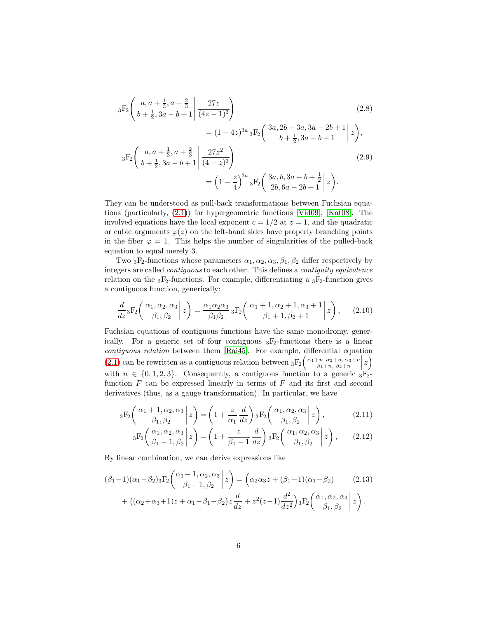<span id="page-5-2"></span><span id="page-5-0"></span>
$$
{}_{3}F_{2}\left(\begin{array}{c} a, a+\frac{1}{3}, a+\frac{2}{3} \\ b+\frac{1}{2}, 3a-b+1 \end{array} \Big| \frac{27z}{(4z-1)^{3}}\right)
$$
\n
$$
= (1-4z)^{3a} {}_{3}F_{2}\left(\begin{array}{c} 3a, 2b-3a, 3a-2b+1 \\ b+\frac{1}{2}, 3a-b+1 \end{array} \Big| z\right),
$$
\n
$$
{}_{3}F_{2}\left(\begin{array}{c} a, a+\frac{1}{3}, a+\frac{2}{3} \\ b+\frac{1}{2}, 3a-b+1 \end{array} \Big| \frac{27z^{2}}{(4-z)^{3}}\right)
$$
\n
$$
= \left(1-\frac{z}{4}\right)^{3a} {}_{3}F_{2}\left(\begin{array}{c} 3a, b, 3a-b+\frac{1}{2} \\ 2b, 6a-2b+1 \end{array} \Big| z\right).
$$
\n(2.9)

They can be understood as pull-back transformations between Fuchsian equations (particularly, [\(2.1\)](#page-3-5)) for hypergeometric functions [\[Vid09\]](#page-36-4), [\[Kat08\]](#page-35-9). The involved equations have the local exponent  $c = 1/2$  at  $z = 1$ , and the quadratic or cubic arguments  $\varphi(z)$  on the left-hand sides have properly branching points in the fiber  $\varphi = 1$ . This helps the number of singularities of the pulled-back equation to equal merely 3.

Two  ${}_{3}F_{2}$ -functions whose parameters  $\alpha_{1}, \alpha_{2}, \alpha_{3}, \beta_{1}, \beta_{2}$  differ respectively by integers are called contiguous to each other. This defines a contiguity equivalence relation on the  $_3F_2$ -functions. For example, differentiating a  $_3F_2$ -function gives a contiguous function, generically:

$$
\frac{d}{dz} {}_3F_2\left( \begin{array}{c} \alpha_1, \alpha_2, \alpha_3 \\ \beta_1, \beta_2 \end{array} \bigg| z \right) = \frac{\alpha_1 \alpha_2 \alpha_3}{\beta_1 \beta_2} {}_3F_2\left( \begin{array}{c} \alpha_1 + 1, \alpha_2 + 1, \alpha_3 + 1 \\ \beta_1 + 1, \beta_2 + 1 \end{array} \bigg| z \right), \quad (2.10)
$$

Fuchsian equations of contiguous functions have the same monodromy, generically. For a generic set of four contiguous  ${}_{3}F_{2}$ -functions there is a linear contiguous relation between them [\[Rai45\]](#page-35-13). For example, differential equation [\(2.1\)](#page-3-5) can be rewritten as a contiguous relation between  ${}_3F_2\left(\alpha_1+n,\alpha_2+n,\alpha_3+n,\alpha_4+n,\alpha_5+n\right)$  $\left(\frac{z}{z}\right)$ with  $n \in \{0, 1, 2, 3\}$ . Consequently, a contiguous function to a generic  ${}_{3}F_{2}$ function  $F$  can be expressed linearly in terms of  $F$  and its first and second derivatives (thus, as a gauge transformation). In particular, we have

$$
{}_3F_2\left(\begin{array}{c} \alpha_1+1,\alpha_2,\alpha_3\\ \beta_1,\beta_2 \end{array}\bigg|z\right) = \left(1+\frac{z}{\alpha_1}\frac{d}{dz}\right){}_3F_2\left(\begin{array}{c} \alpha_1,\alpha_2,\alpha_3\\ \beta_1,\beta_2 \end{array}\bigg|z\right),\tag{2.11}
$$

<span id="page-5-1"></span>
$$
{}_{3}F_{2}\left(\begin{array}{c} \alpha_{1}, \alpha_{2}, \alpha_{3} \\ \beta_{1} - 1, \beta_{2} \end{array} \bigg| z\right) = \left(1 + \frac{z}{\beta_{1} - 1} \frac{d}{dz}\right) {}_{3}F_{2}\left(\begin{array}{c} \alpha_{1}, \alpha_{2}, \alpha_{3} \\ \beta_{1}, \beta_{2} \end{array} \bigg| z\right),\tag{2.12}
$$

By linear combination, we can derive expressions like

$$
(\beta_1 - 1)(\alpha_1 - \beta_2)_3 \mathcal{F}_2\left(\begin{array}{c} \alpha_1 - 1, \alpha_2, \alpha_3 \\ \beta_1 - 1, \beta_2 \end{array} \bigg| z \right) = \left( \alpha_2 \alpha_3 z + (\beta_1 - 1)(\alpha_1 - \beta_2) \right) (2.13)
$$

$$
+ \left( (\alpha_2 + \alpha_3 + 1)z + \alpha_1 - \beta_1 - \beta_2 \right) z \frac{d}{dz} + z^2 (z - 1) \frac{d^2}{dz^2} \Big) {}_3 \mathcal{F}_2\left(\begin{array}{c} \alpha_1, \alpha_2, \alpha_3 \\ \beta_1, \beta_2 \end{array} \bigg| z \right).
$$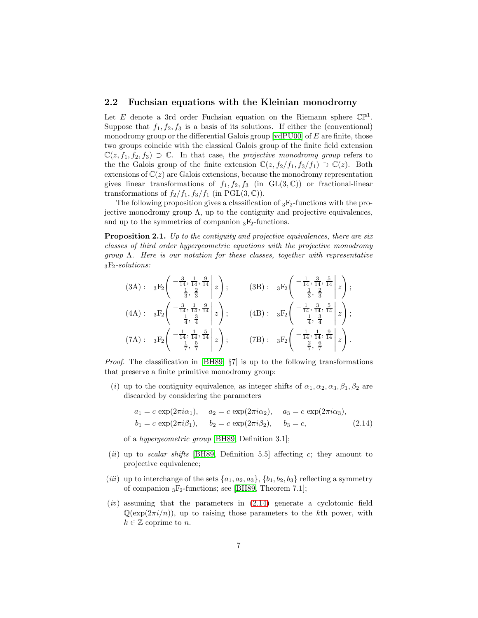#### <span id="page-6-1"></span>2.2 Fuchsian equations with the Kleinian monodromy

Let E denote a 3rd order Fuchsian equation on the Riemann sphere  $\mathbb{CP}^1$ . Suppose that  $f_1, f_2, f_3$  is a basis of its solutions. If either the (conventional) monodromy group or the differential Galois group  $[\text{vdP}U00]$  of  $E$  are finite, those two groups coincide with the classical Galois group of the finite field extension  $\mathbb{C}(z, f_1, f_2, f_3) \supset \mathbb{C}$ . In that case, the projective monodromy group refers to the the Galois group of the finite extension  $\mathbb{C}(z, f_2/f_1, f_3/f_1) \supset \mathbb{C}(z)$ . Both extensions of  $\mathbb{C}(z)$  are Galois extensions, because the monodromy representation gives linear transformations of  $f_1, f_2, f_3$  (in  $GL(3, \mathbb{C})$ ) or fractional-linear transformations of  $f_2/f_1$ ,  $f_3/f_1$  (in PGL(3, C)).

The following proposition gives a classification of  ${}_{3}F_{2}$ -functions with the projective monodromy group  $\Lambda$ , up to the contiguity and projective equivalences, and up to the symmetries of companion  ${}_{3}F_{2}$ -functions.

<span id="page-6-0"></span>Proposition 2.1. Up to the contiguity and projective equivalences, there are six classes of third order hypergeometric equations with the projective monodromy  $group \Lambda$ . Here is our notation for these classes, together with representative  $_3F_2$ -solutions:

$$
(3A): \n3F_2 \left( \n\begin{array}{ccc|c}\n-\frac{3}{14}, \frac{1}{14}, \frac{9}{14} & z \\
\frac{1}{3}, \frac{2}{3} & 1\n\end{array} \n\right); \n(3B): \n3F_2 \left( \n\begin{array}{ccc|c}\n-\frac{1}{14}, \frac{3}{14}, \frac{5}{14} & z \\
\frac{1}{3}, \frac{2}{3} & 1\n\end{array} \n\right); \n(4A): \n3F_2 \left( \n\begin{array}{ccc|c}\n-\frac{3}{14}, \frac{1}{14}, \frac{9}{14} & z \\
\frac{1}{4}, \frac{3}{4} & 1\n\end{array} \n\right); \n(4B): \n3F_2 \left( \n\begin{array}{ccc|c}\n-\frac{1}{14}, \frac{3}{14}, \frac{5}{14} & z \\
\frac{1}{4}, \frac{3}{4} & 1\n\end{array} \n\right); \n(7A): \n3F_2 \left( \n\begin{array}{ccc|c}\n-\frac{1}{14}, \frac{1}{14}, \frac{9}{14} & z \\
\frac{1}{4}, \frac{3}{4} & 1\n\end{array} \n\right).
$$

*Proof.* The classification in [\[BH89,](#page-35-0)  $\S7$ ] is up to the following transformations that preserve a finite primitive monodromy group:

(i) up to the contiguity equivalence, as integer shifts of  $\alpha_1, \alpha_2, \alpha_3, \beta_1, \beta_2$  are discarded by considering the parameters

<span id="page-6-2"></span>
$$
a_1 = c \exp(2\pi i \alpha_1), \quad a_2 = c \exp(2\pi i \alpha_2), \quad a_3 = c \exp(2\pi i \alpha_3),
$$
  
\n $b_1 = c \exp(2\pi i \beta_1), \quad b_2 = c \exp(2\pi i \beta_2), \quad b_3 = c,$  (2.14)

of a hypergeometric group [\[BH89,](#page-35-0) Definition 3.1];

- (ii) up to scalar shifts [\[BH89,](#page-35-0) Definition 5.5] affecting c; they amount to projective equivalence;
- (*iii*) up to interchange of the sets  $\{a_1, a_2, a_3\}, \{b_1, b_2, b_3\}$  reflecting a symmetry of companion  ${}_{3}F_{2}$ -functions; see [\[BH89,](#page-35-0) Theorem 7.1];
- $(iv)$  assuming that the parameters in  $(2.14)$  generate a cyclotomic field  $\mathbb{Q}(\exp(2\pi i/n))$ , up to raising those parameters to the kth power, with  $k \in \mathbb{Z}$  coprime to n.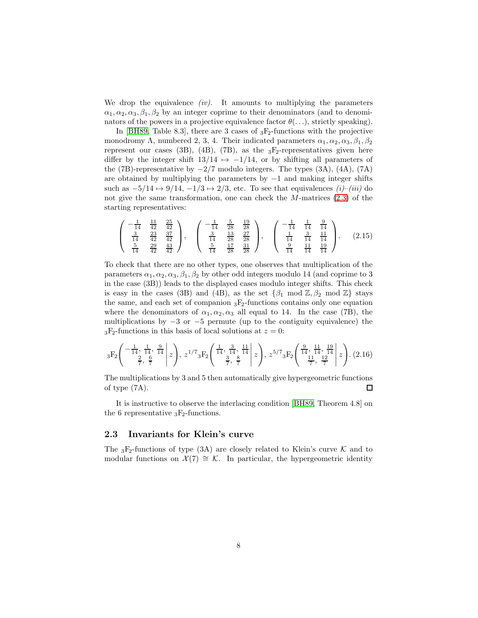We drop the equivalence  $(iv)$ . It amounts to multiplying the parameters  $\alpha_1, \alpha_2, \alpha_3, \beta_1, \beta_2$  by an integer coprime to their denominators (and to denominators of the powers in a projective equivalence factor  $\theta(\ldots)$ , strictly speaking).

In [\[BH89,](#page-35-0) Table 8.3], there are 3 cases of  $_3F_2$ -functions with the projective monodromy Λ, numbered 2, 3, 4. Their indicated parameters  $\alpha_1, \alpha_2, \alpha_3, \beta_1, \beta_2$ represent our cases (3B), (4B), (7B), as the  $_3F_2$ -representatives given here differ by the integer shift  $13/14 \rightarrow -1/14$ , or by shifting all parameters of the (7B)-representative by  $-2/7$  modulo integers. The types (3A), (4A), (7A) are obtained by multiplying the parameters by  $-1$  and making integer shifts such as  $-5/14 \mapsto 9/14$ ,  $-1/3 \mapsto 2/3$ , etc. To see that equivalences  $(i)$ – $(iii)$  do not give the same transformation, one can check the  $M$ -matrices  $(2.3)$  of the starting representatives:

<span id="page-7-2"></span>
$$
\begin{pmatrix} -\frac{1}{14} & \frac{11}{42} & \frac{25}{42} \\ \frac{3}{14} & \frac{23}{42} & \frac{37}{42} \\ \frac{5}{14} & \frac{29}{42} & \frac{43}{42} \end{pmatrix}, \quad \begin{pmatrix} -\frac{1}{14} & \frac{5}{28} & \frac{19}{28} \\ \frac{3}{14} & \frac{13}{28} & \frac{27}{28} \\ \frac{5}{14} & \frac{17}{28} & \frac{31}{28} \end{pmatrix}, \quad \begin{pmatrix} -\frac{1}{14} & \frac{1}{14} & \frac{9}{14} \\ \frac{1}{14} & \frac{3}{14} & \frac{11}{14} \\ \frac{9}{14} & \frac{11}{14} & \frac{19}{14} \end{pmatrix}. \quad (2.15)
$$

To check that there are no other types, one observes that multiplication of the parameters  $\alpha_1, \alpha_2, \alpha_3, \beta_1, \beta_2$  by other odd integers modulo 14 (and coprime to 3) in the case (3B)) leads to the displayed cases modulo integer shifts. This check is easy in the cases (3B) and (4B), as the set  $\{\beta_1 \text{ mod } \mathbb{Z}, \beta_2 \text{ mod } \mathbb{Z}\}\$  stays the same, and each set of companion  ${}_{3}F_{2}$ -functions contains only one equation where the denominators of  $\alpha_1, \alpha_2, \alpha_3$  all equal to 14. In the case (7B), the multiplications by  $-3$  or  $-5$  permute (up to the contiguity equivalence) the  ${}_{3}F_{2}$ -functions in this basis of local solutions at  $z = 0$ :

<span id="page-7-1"></span>
$$
{}_{3}F_{2}\left(\begin{array}{c} -\frac{1}{14}, \frac{1}{14}, \frac{9}{14} \\ \frac{2}{7}, \frac{6}{7} \end{array} \middle| z\right), z^{1/7} {}_{3}F_{2}\left(\begin{array}{c} \frac{1}{14}, \frac{3}{14}, \frac{11}{14} \\ \frac{3}{7}, \frac{8}{7} \end{array} \middle| z\right), z^{5/7} {}_{3}F_{2}\left(\begin{array}{c} \frac{9}{14}, \frac{11}{14}, \frac{19}{14} \\ \frac{11}{7}, \frac{12}{7} \end{array} \middle| z\right). (2.16)
$$

The multiplications by 3 and 5 then automatically give hypergeometric functions of type (7A). П

It is instructive to observe the interlacing condition [\[BH89,](#page-35-0) Theorem 4.8] on the 6 representative  $_3F_2$ -functions.

### <span id="page-7-0"></span>2.3 Invariants for Klein's curve

The <sub>3</sub>F<sub>2</sub>-functions of type (3A) are closely related to Klein's curve  $K$  and to modular functions on  $\mathcal{X}(7) \cong \mathcal{K}$ . In particular, the hypergeometric identity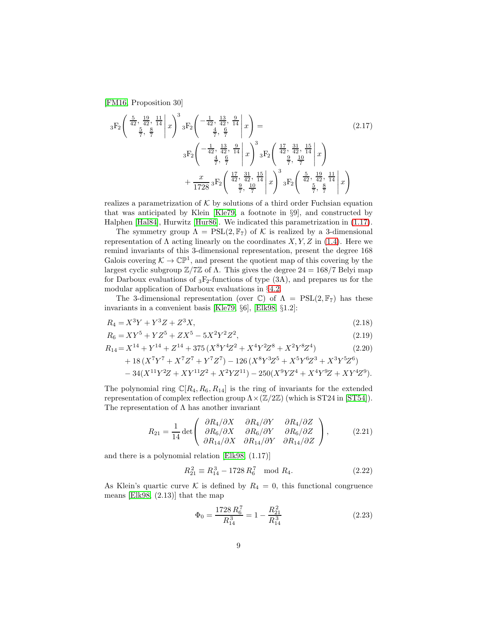[\[FM16,](#page-35-12) Proposition 30]

<span id="page-8-0"></span>
$$
{}_{3}F_{2}\left(\begin{array}{c} \frac{5}{42}, \frac{19}{42}, \frac{11}{14} \\ \frac{5}{7}, \frac{8}{7} \end{array} \middle| x\right)^{3} {}_{3}F_{2}\left(\begin{array}{c} -\frac{1}{42}, \frac{13}{42}, \frac{9}{14} \\ \frac{4}{7}, \frac{6}{7} \end{array} \middle| x\right) = \begin{array}{c} (2.17) \\ {}_{3}F_{2}\left(\begin{array}{c} -\frac{1}{42}, \frac{13}{42}, \frac{9}{14} \\ \frac{4}{7}, \frac{6}{7} \end{array} \middle| x\right)^{3} {}_{3}F_{2}\left(\begin{array}{c} \frac{17}{42}, \frac{31}{42}, \frac{15}{14} \\ \frac{9}{7}, \frac{19}{7} \end{array} \middle| x\right) \\ {}_{+} \frac{x}{1728} {}_{3}F_{2}\left(\begin{array}{c} \frac{17}{42}, \frac{31}{42}, \frac{15}{14} \\ \frac{9}{7}, \frac{10}{7} \end{array} \middle| x\right)^{3} {}_{3}F_{2}\left(\begin{array}{c} \frac{5}{42}, \frac{19}{42}, \frac{11}{14} \\ \frac{5}{7}, \frac{8}{7} \end{array} \middle| x\right) \end{array}
$$

realizes a parametrization of  $K$  by solutions of a third order Fuchsian equation that was anticipated by Klein [\[Kle79,](#page-35-14) a footnote in §9], and constructed by Halphen [\[Hal84\]](#page-35-5), Hurwitz [\[Hur86\]](#page-35-6). We indicated this parametrization in [\(1.17\)](#page-3-6).

The symmetry group  $\Lambda = \text{PSL}(2, \mathbb{F}_7)$  of K is realized by a 3-dimensional representation of  $\Lambda$  acting linearly on the coordinates  $X, Y, Z$  in [\(1.4\)](#page-1-1). Here we remind invariants of this 3-dimensional representation, present the degree 168 Galois covering  $K \to \mathbb{CP}^1$ , and present the quotient map of this covering by the largest cyclic subgroup  $\mathbb{Z}/7\mathbb{Z}$  of Λ. This gives the degree 24 = 168/7 Belyi map for Darboux evaluations of  $_3F_2$ -functions of type  $(3A)$ , and prepares us for the modular application of Darboux evaluations in §[4.2.](#page-20-0)

The 3-dimensional representation (over C) of  $\Lambda = \text{PSL}(2,\mathbb{F}_7)$  has these invariants in a convenient basis [\[Kle79,](#page-35-14) §6], [\[Elk98,](#page-35-7) §1.2]:

$$
R_4 = X^3 Y + Y^3 Z + Z^3 X,\tag{2.18}
$$

$$
R_6 = XY^5 + YZ^5 + ZX^5 - 5X^2Y^2Z^2,
$$
\n
$$
(2.19)
$$

$$
R_{14} = X^{14} + Y^{14} + Z^{14} + 375 \left( X^8 Y^4 Z^2 + X^4 Y^2 Z^8 + X^2 Y^8 Z^4 \right) \tag{2.20}
$$

$$
+18\, (X^7 Y^7+X^7 Z^7+Y^7 Z^7)-126\, (X^8 Y^3 Z^5+X^5 Y^6 Z^3+X^3 Y^5 Z^6)\\ -34 (X^{11} Y^2 Z+XY^{11} Z^2+X^2 YZ^{11})-250 (X^9 Y Z^4+X^4 Y^9 Z+XY^4 Z^9).
$$

The polynomial ring  $\mathbb{C}[R_4, R_6, R_{14}]$  is the ring of invariants for the extended representation of complex reflection group  $\Lambda \times (\mathbb{Z}/2\mathbb{Z})$  (which is ST24 in [\[ST54\]](#page-36-2)). The representation of  $\Lambda$  has another invariant

$$
R_{21} = \frac{1}{14} \det \begin{pmatrix} \frac{\partial R_4}{\partial X} & \frac{\partial R_4}{\partial Y} & \frac{\partial R_4}{\partial Z} \\ \frac{\partial R_6}{\partial X} & \frac{\partial R_6}{\partial Y} & \frac{\partial R_6}{\partial Y} \\ \frac{\partial R_{14}{\partial X}} & \frac{\partial R_{14}{\partial Y}}{\partial X_{14}{\partial Y}} & \frac{\partial R_{14}{\partial Z}}{\partial X_{24}} \end{pmatrix},
$$
(2.21)

and there is a polynomial relation [\[Elk98,](#page-35-7) (1.17)]

<span id="page-8-2"></span>
$$
R_{21}^2 \equiv R_{14}^3 - 1728 R_6^7 \mod R_4. \tag{2.22}
$$

As Klein's quartic curve K is defined by  $R_4 = 0$ , this functional congruence means [\[Elk98,](#page-35-7) (2.13)] that the map

<span id="page-8-1"></span>
$$
\Phi_0 = \frac{1728 R_6^7}{R_{14}^3} = 1 - \frac{R_{21}^2}{R_{14}^3} \tag{2.23}
$$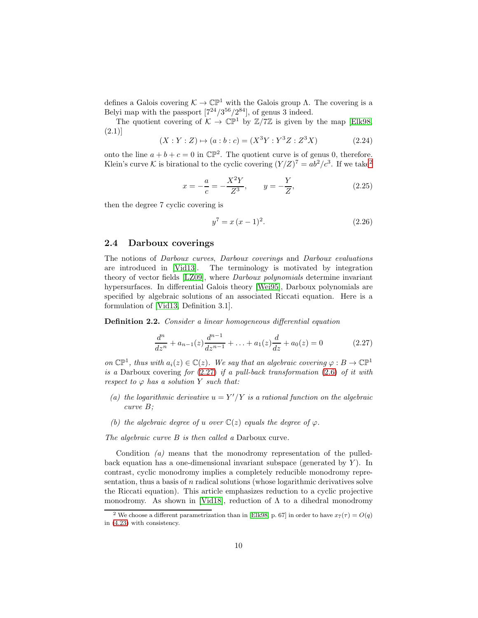defines a Galois covering  $K \to \mathbb{CP}^1$  with the Galois group  $\Lambda$ . The covering is a Belyi map with the passport  $[7^{24}/3^{56}/2^{84}]$ , of genus 3 indeed.

The quotient covering of  $K \to \mathbb{CP}^1$  by  $\mathbb{Z}/7\mathbb{Z}$  is given by the map [\[Elk98,](#page-35-7) (2.1)]

$$
(X:Y:Z) \mapsto (a:b:c) = (X^3Y:Y^3Z:Z^3X)
$$
 (2.24)

onto the line  $a + b + c = 0$  in  $\mathbb{CP}^2$ . The quotient curve is of genus 0, therefore. Klein's curve K is birational to the cyclic covering  $(Y/Z)^7 = ab^2/c^3$  $(Y/Z)^7 = ab^2/c^3$  $(Y/Z)^7 = ab^2/c^3$ . If we take<sup>2</sup>

<span id="page-9-3"></span>
$$
x = -\frac{a}{c} = -\frac{X^2 Y}{Z^3}, \qquad y = -\frac{Y}{Z}, \tag{2.25}
$$

then the degree 7 cyclic covering is

$$
y^7 = x(x-1)^2.
$$
 (2.26)

#### <span id="page-9-0"></span>2.4 Darboux coverings

The notions of Darboux curves, Darboux coverings and Darboux evaluations are introduced in [\[Vid13\]](#page-36-0). The terminology is motivated by integration theory of vector fields [\[LZ09\]](#page-35-15), where Darboux polynomials determine invariant hypersurfaces. In differential Galois theory [\[Wei95\]](#page-36-7), Darboux polynomials are specified by algebraic solutions of an associated Riccati equation. Here is a formulation of [\[Vid13,](#page-36-0) Definition 3.1].

Definition 2.2. Consider a linear homogeneous differential equation

<span id="page-9-2"></span>
$$
\frac{d^n}{dz^n} + a_{n-1}(z)\frac{d^{n-1}}{dz^{n-1}} + \ldots + a_1(z)\frac{d}{dz} + a_0(z) = 0
$$
\n(2.27)

on  $\mathbb{CP}^1$ , thus with  $a_i(z) \in \mathbb{C}(z)$ . We say that an algebraic covering  $\varphi : B \to \mathbb{CP}^1$ is a Darboux covering for  $(2.27)$  $(2.27)$  if a pull-back transformation  $(2.6)$  $(2.6)$  of it with respect to  $\varphi$  has a solution Y such that:

- (a) the logarithmic derivative  $u = Y'/Y$  is a rational function on the algebraic curve B;
- (b) the algebraic degree of u over  $\mathbb{C}(z)$  equals the degree of  $\varphi$ .

The algebraic curve B is then called a Darboux curve.

Condition (a) means that the monodromy representation of the pulledback equation has a one-dimensional invariant subspace (generated by  $Y$ ). In contrast, cyclic monodromy implies a completely reducible monodromy representation, thus a basis of n radical solutions (whose logarithmic derivatives solve the Riccati equation). This article emphasizes reduction to a cyclic projective monodromy. As shown in [\[Vid18\]](#page-36-3), reduction of  $\Lambda$  to a dihedral monodromy

<span id="page-9-1"></span><sup>&</sup>lt;sup>2</sup> We choose a different parametrization than in [\[Elk98,](#page-35-7) p. 67] in order to have  $x_7(\tau) = O(q)$ in [\(4.23\)](#page-21-0) with consistency.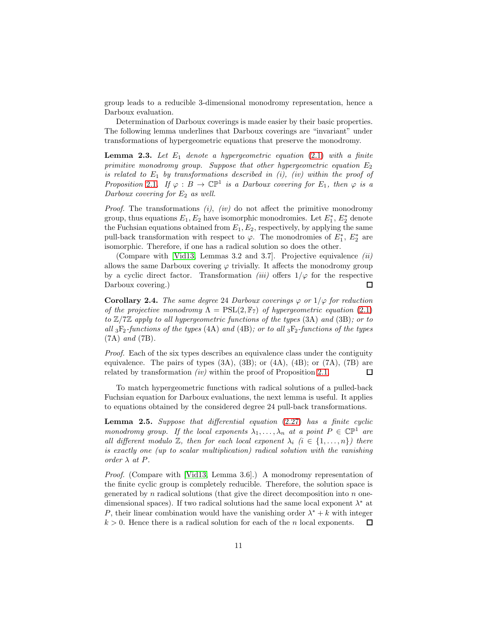group leads to a reducible 3-dimensional monodromy representation, hence a Darboux evaluation.

Determination of Darboux coverings is made easier by their basic properties. The following lemma underlines that Darboux coverings are "invariant" under transformations of hypergeometric equations that preserve the monodromy.

**Lemma 2.3.** Let  $E_1$  denote a hypergeometric equation (2.[1\)](#page-3-5) with a finite primitive monodromy group. Suppose that other hypergeometric equation  $E_2$ is related to  $E_1$  by transformations described in (i), (iv) within the proof of Proposition [2](#page-6-0).1. If  $\varphi : B \to \mathbb{CP}^1$  is a Darboux covering for  $E_1$ , then  $\varphi$  is a Darboux covering for  $E_2$  as well.

*Proof.* The transformations  $(i)$ ,  $(iv)$  do not affect the primitive monodromy group, thus equations  $E_1, E_2$  have isomorphic monodromies. Let  $E_1^*, E_2^*$  denote the Fuchsian equations obtained from  $E_1, E_2$ , respectively, by applying the same pull-back transformation with respect to  $\varphi$ . The monodromies of  $E_1^*$ ,  $E_2^*$  are isomorphic. Therefore, if one has a radical solution so does the other.

(Compare with [\[Vid13,](#page-36-0) Lemmas 3.2 and 3.7]. Projective equivalence (ii) allows the same Darboux covering  $\varphi$  trivially. It affects the monodromy group by a cyclic direct factor. Transformation *(iii)* offers  $1/\varphi$  for the respective Darboux covering.)  $\Box$ 

<span id="page-10-0"></span>**Corollary 2.4.** The same degree 24 Darboux coverings  $\varphi$  or  $1/\varphi$  for reduction of the projective monodromy  $\Lambda = \text{PSL}(2, \mathbb{F}_7)$  of hypergeometric equation (2.[1\)](#page-3-5) to  $\mathbb{Z}/7\mathbb{Z}$  apply to all hypergeometric functions of the types (3A) and (3B); or to all  $_3F_2$ -functions of the types (4A) and (4B); or to all  $_3F_2$ -functions of the types (7A) and (7B).

Proof. Each of the six types describes an equivalence class under the contiguity equivalence. The pairs of types  $(3A)$ ,  $(3B)$ ; or  $(4A)$ ,  $(4B)$ ; or  $(7A)$ ,  $(7B)$  are related by transformation *(iv)* within the proof of Proposition [2](#page-6-0).1. 口

To match hypergeometric functions with radical solutions of a pulled-back Fuchsian equation for Darboux evaluations, the next lemma is useful. It applies to equations obtained by the considered degree 24 pull-back transformations.

<span id="page-10-1"></span>Lemma 2.5. Suppose that differential equation (2.[27\)](#page-9-2) has a finite cyclic monodromy group. If the local exponents  $\lambda_1, \ldots, \lambda_n$  at a point  $P \in \mathbb{CP}^1$  are all different modulo  $\mathbb{Z}$ , then for each local exponent  $\lambda_i$  ( $i \in \{1, \ldots, n\}$ ) there is exactly one (up to scalar multiplication) radical solution with the vanishing order  $\lambda$  at  $P$ .

Proof. (Compare with [\[Vid13,](#page-36-0) Lemma 3.6].) A monodromy representation of the finite cyclic group is completely reducible. Therefore, the solution space is generated by  $n$  radical solutions (that give the direct decomposition into  $n$  onedimensional spaces). If two radical solutions had the same local exponent  $\lambda^*$  at P, their linear combination would have the vanishing order  $\lambda^* + k$  with integer  $k > 0$ . Hence there is a radical solution for each of the *n* local exponents. 口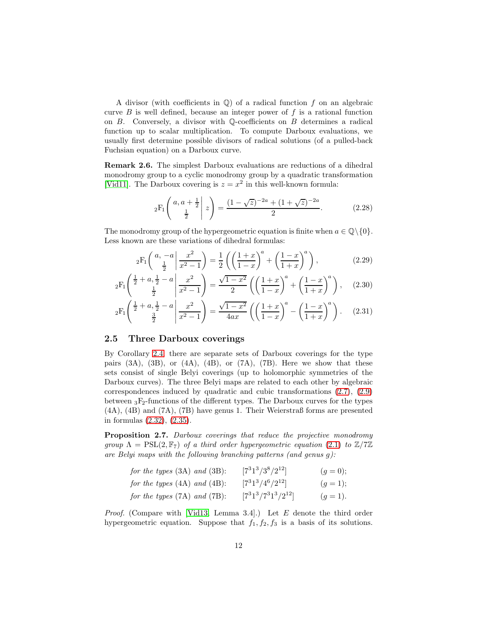A divisor (with coefficients in  $\mathbb{Q}$ ) of a radical function f on an algebraic curve  $B$  is well defined, because an integer power of  $f$  is a rational function on  $B$ . Conversely, a divisor with Q-coefficients on  $B$  determines a radical function up to scalar multiplication. To compute Darboux evaluations, we usually first determine possible divisors of radical solutions (of a pulled-back Fuchsian equation) on a Darboux curve.

Remark 2.6. The simplest Darboux evaluations are reductions of a dihedral monodromy group to a cyclic monodromy group by a quadratic transformation [\[Vid11\]](#page-36-8). The Darboux covering is  $z = x^2$  in this well-known formula:

<span id="page-11-3"></span><span id="page-11-2"></span>
$$
{}_2F_1\left(\begin{array}{c|c} a, a + \frac{1}{2} & z \end{array}\bigg| z\right) = \frac{(1 - \sqrt{z})^{-2a} + (1 + \sqrt{z})^{-2a}}{2}.
$$
 (2.28)

The monodromy group of the hypergeometric equation is finite when  $a \in \mathbb{Q} \setminus \{0\}.$ Less known are these variations of dihedral formulas:

$$
{}_2F_1\left(\begin{array}{c} a, -a \\ \frac{1}{2} \end{array} \middle| \frac{x^2}{x^2 - 1} \right) = \frac{1}{2} \left( \left( \frac{1+x}{1-x} \right)^a + \left( \frac{1-x}{1+x} \right)^a \right), \tag{2.29}
$$

$$
{}_2F_1\left(\frac{\frac{1}{2}+a,\frac{1}{2}-a}{\frac{1}{2}}\middle|\frac{x^2}{x^2-1}\right) = \frac{\sqrt{1-x^2}}{2}\left(\left(\frac{1+x}{1-x}\right)^a + \left(\frac{1-x}{1+x}\right)^a\right),\tag{2.30}
$$

$$
{}_2F_1\left(\frac{\frac{1}{2}+a,\frac{1}{2}-a}{\frac{3}{2}}\middle|\frac{x^2}{x^2-1}\right) = \frac{\sqrt{1-x^2}}{4ax} \left(\left(\frac{1+x}{1-x}\right)^a - \left(\frac{1-x}{1+x}\right)^a\right). \tag{2.31}
$$

### <span id="page-11-1"></span>2.5 Three Darboux coverings

By Corollary [2.4,](#page-10-0) there are separate sets of Darboux coverings for the type pairs  $(3A)$ ,  $(3B)$ , or  $(4A)$ ,  $(4B)$ , or  $(7A)$ ,  $(7B)$ . Here we show that these sets consist of single Belyi coverings (up to holomorphic symmetries of the Darboux curves). The three Belyi maps are related to each other by algebraic correspondences induced by quadratic and cubic transformations [\(2.7\)](#page-4-2), [\(2.9\)](#page-5-0) between  ${}_{3}F_{2}$ -functions of the different types. The Darboux curves for the types (4A), (4B) and (7A), (7B) have genus 1. Their Weierstraß forms are presented in formulas [\(2.32\)](#page-12-0), [\(2.35\)](#page-12-1).

<span id="page-11-0"></span>Proposition 2.7. Darboux coverings that reduce the projective monodromy group  $\Lambda = \text{PSL}(2,\mathbb{F}_7)$  of a third order hypergeometric equation (2.[1\)](#page-3-5) to  $\mathbb{Z}/7\mathbb{Z}$ are Belyi maps with the following branching patterns (and genus g):

| for the types $(3A)$ and $(3B)$ : | $[7^31^3/3^8/2^{12}]$    | $(g = 0);$ |
|-----------------------------------|--------------------------|------------|
| for the types $(4A)$ and $(4B)$ : | $[7^31^3/4^6/2^{12}]$    | $(g=1);$   |
| for the types $(7A)$ and $(7B)$ : | $[7^31^3/7^31^3/2^{12}]$ | $(g = 1).$ |

*Proof.* (Compare with [\[Vid13,](#page-36-0) Lemma 3.4].) Let  $E$  denote the third order hypergeometric equation. Suppose that  $f_1, f_2, f_3$  is a basis of its solutions.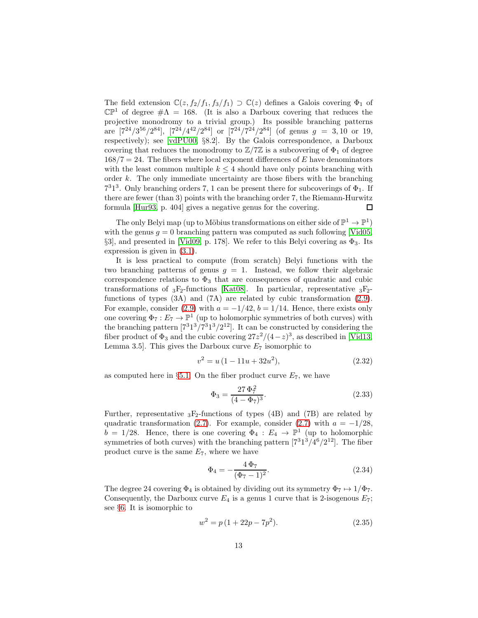The field extension  $\mathbb{C}(z, f_2/f_1, f_3/f_1) \supset \mathbb{C}(z)$  defines a Galois covering  $\Phi_1$  of  $\mathbb{CP}^1$  of degree  $\#\Lambda = 168$ . (It is also a Darboux covering that reduces the projective monodromy to a trivial group.) Its possible branching patterns are  $[7^{24}/3^{56}/2^{84}]$ ,  $[7^{24}/4^{42}/2^{84}]$  or  $[7^{24}/7^{24}/2^{84}]$  (of genus  $g = 3, 10$  or 19, respectively); see [\[vdPU00,](#page-35-2) §8.2]. By the Galois correspondence, a Darboux covering that reduces the monodromy to  $\mathbb{Z}/7\mathbb{Z}$  is a subcovering of  $\Phi_1$  of degree  $168/7 = 24$ . The fibers where local exponent differences of E have denominators with the least common multiple  $k \leq 4$  should have only points branching with order  $k$ . The only immediate uncertainty are those fibers with the branching  $7<sup>3</sup>1<sup>3</sup>$ . Only branching orders 7, 1 can be present there for subcoverings of  $\Phi_1$ . If there are fewer (than 3) points with the branching order 7, the Riemann-Hurwitz formula [\[Hur93,](#page-35-4) p. 404] gives a negative genus for the covering. □

The only Belyi map (up to Möbius transformations on either side of  $\mathbb{P}^1 \to \mathbb{P}^1$ ) with the genus  $g = 0$  branching pattern was computed as such following [\[Vid05,](#page-36-9) §3], and presented in [\[Vid09,](#page-36-4) p. 178]. We refer to this Belyi covering as  $\Phi_3$ . Its expression is given in [\(3.1\)](#page-13-1).

It is less practical to compute (from scratch) Belyi functions with the two branching patterns of genus  $g = 1$ . Instead, we follow their algebraic correspondence relations to  $\Phi_3$  that are consequences of quadratic and cubic transformations of  ${}_{3}F_{2}$ -functions [\[Kat08\]](#page-35-9). In particular, representative  ${}_{3}F_{2}$ functions of types (3A) and (7A) are related by cubic transformation [\(2.9\)](#page-5-0). For example, consider [\(2.9\)](#page-5-0) with  $a = -1/42$ ,  $b = 1/14$ . Hence, there exists only one covering  $\Phi_7: E_7 \to \mathbb{P}^1$  (up to holomorphic symmetries of both curves) with the branching pattern  $[7^31^3/7^31^3/2^{12}]$ . It can be constructed by considering the fiber product of  $\Phi_3$  and the cubic covering  $27z^2/(4-z)^3$ , as described in [\[Vid13,](#page-36-0) Lemma 3.5]. This gives the Darboux curve  $E_7$  isomorphic to

<span id="page-12-0"></span>
$$
v^2 = u(1 - 11u + 32u^2), \tag{2.32}
$$

as computed here in §[5.1.](#page-27-0) On the fiber product curve  $E_7$ , we have

$$
\Phi_3 = \frac{27 \Phi_7^2}{(4 - \Phi_7)^3}.\tag{2.33}
$$

Further, representative  ${}_{3}F_{2}$ -functions of types (4B) and (7B) are related by quadratic transformation [\(2.7\)](#page-4-2). For example, consider (2.7) with  $a = -1/28$ ,  $b = 1/28$ . Hence, there is one covering  $\Phi_4 : E_4 \to \mathbb{P}^1$  (up to holomorphic symmetries of both curves) with the branching pattern  $[7^31^3/4^6/2^{12}]$ . The fiber product curve is the same  $E_7$ , where we have

<span id="page-12-2"></span>
$$
\Phi_4 = -\frac{4\,\Phi_7}{(\Phi_7 - 1)^2}.\tag{2.34}
$$

The degree 24 covering  $\Phi_4$  is obtained by dividing out its symmetry  $\Phi_7 \mapsto 1/\Phi_7$ . Consequently, the Darboux curve  $E_4$  is a genus 1 curve that is 2-isogenous  $E_7$ ; see §[6.](#page-31-0) It is isomorphic to

<span id="page-12-1"></span>
$$
w^2 = p(1 + 22p - 7p^2). \tag{2.35}
$$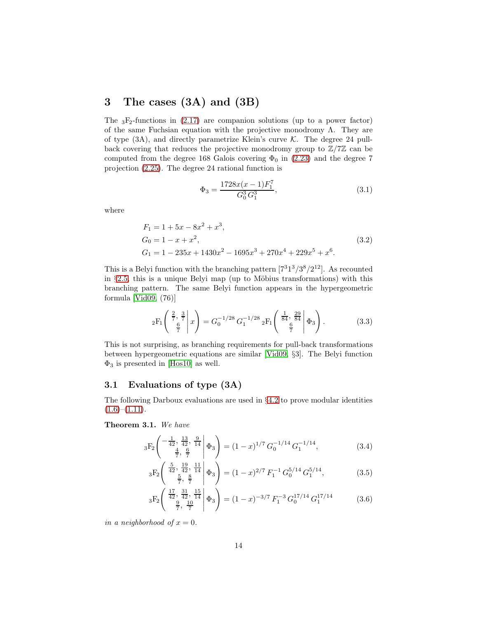## <span id="page-13-0"></span>3 The cases (3A) and (3B)

The  ${}_{3}F_{2}$ -functions in [\(2.17\)](#page-8-0) are companion solutions (up to a power factor) of the same Fuchsian equation with the projective monodromy  $\Lambda$ . They are of type  $(3A)$ , and directly parametrize Klein's curve K. The degree 24 pullback covering that reduces the projective monodromy group to  $\mathbb{Z}/7\mathbb{Z}$  can be computed from the degree 168 Galois covering  $\Phi_0$  in [\(2.23\)](#page-8-1) and the degree 7 projection [\(2.25\)](#page-9-3). The degree 24 rational function is

<span id="page-13-1"></span>
$$
\Phi_3 = \frac{1728x(x-1)F_1^7}{G_0^3 G_1^3},\tag{3.1}
$$

where

$$
F_1 = 1 + 5x - 8x^2 + x^3,
$$
  
\n
$$
G_0 = 1 - x + x^2,
$$
  
\n
$$
G_1 = 1 - 235x + 1430x^2 - 1695x^3 + 270x^4 + 229x^5 + x^6.
$$
\n(3.2)

This is a Belyi function with the branching pattern  $[7^31^3/3^8/2^{12}]$ . As recounted in  $\S 2.5$ , this is a unique Belyi map (up to Möbius transformations) with this branching pattern. The same Belyi function appears in the hypergeometric formula [\[Vid09,](#page-36-4) (76)]

$$
{}_2F_1\left(\begin{array}{c} \frac{2}{7}, \frac{3}{7} \\ \frac{6}{7} \end{array} \middle| x\right) = G_0^{-1/28} G_1^{-1/28} {}_2F_1\left(\begin{array}{c} \frac{1}{84}, \frac{29}{84} \\ \frac{6}{7} \end{array} \middle| \Phi_3\right). \tag{3.3}
$$

This is not surprising, as branching requirements for pull-back transformations between hypergeometric equations are similar [\[Vid09,](#page-36-4) §3]. The Belyi function  $\Phi_3$  is presented in [\[Hos10\]](#page-35-8) as well.

### 3.1 Evaluations of type (3A)

The following Darboux evaluations are used in §[4.2](#page-20-0) to prove modular identities  $(1.6)$ – $(1.11)$ .

<span id="page-13-5"></span>Theorem 3.1. We have

$$
{}_{3}F_{2}\left(\begin{array}{c} -\frac{1}{42}, \frac{13}{42}, \frac{9}{14} \\ \frac{4}{7}, \frac{6}{7} \end{array} \middle| \Phi_{3} \right) = (1-x)^{1/7} G_{0}^{-1/14} G_{1}^{-1/14}, \tag{3.4}
$$

<span id="page-13-3"></span><span id="page-13-2"></span>
$$
{}_3F_2\left( \begin{array}{cc} \frac{5}{42}, \frac{19}{42}, \frac{11}{14} \\ \frac{5}{7}, \frac{8}{7} \end{array} \middle| \Phi_3 \right) = (1-x)^{2/7} F_1^{-1} G_0^{5/14} G_1^{5/14}, \tag{3.5}
$$

<span id="page-13-4"></span>
$$
{}_{3}F_{2}\left(\begin{array}{c} \frac{17}{42}, \frac{31}{42}, \frac{15}{14} \\ \frac{9}{7}, \frac{10}{7} \end{array}\middle|\Phi_{3}\right) = (1-x)^{-3/7} F_{1}^{-3} G_{0}^{17/14} G_{1}^{17/14}
$$
(3.6)

in a neighborhood of  $x = 0$ .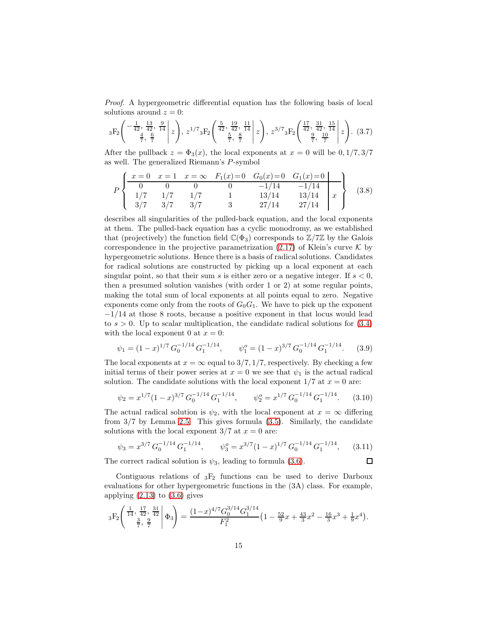Proof. A hypergeometric differential equation has the following basis of local solutions around  $z = 0$ :

<span id="page-14-0"></span>
$$
{}_{3}F_{2}\left(\begin{array}{c|c} -\frac{1}{42}, \frac{13}{42}, \frac{9}{14} \\ \frac{4}{7}, \frac{6}{7} \end{array} \middle| z\right), z^{1/7} {}_{3}F_{2}\left(\begin{array}{c|c} \frac{5}{42}, \frac{19}{42}, \frac{11}{14} \\ \frac{5}{7}, \frac{8}{7} \end{array} \middle| z\right), z^{3/7} {}_{3}F_{2}\left(\begin{array}{c|c} \frac{17}{42}, \frac{31}{42}, \frac{15}{14} \\ \frac{9}{7}, \frac{10}{7} \end{array} \middle| z\right). (3.7)
$$

After the pullback  $z = \Phi_3(x)$ , the local exponents at  $x = 0$  will be  $0, 1/7, 3/7$ as well. The generalized Riemann's P-symbol

$$
P\left\{\n\begin{array}{ccccc}\nx = 0 & x = 1 & x = \infty & F_1(x) = 0 & G_0(x) = 0 & G_1(x) = 0 \\
0 & 0 & 0 & 0 & -1/14 & -1/14 \\
1/7 & 1/7 & 1/7 & 1 & 13/14 & 13/14 \\
3/7 & 3/7 & 3/7 & 3 & 27/14 & 27/14\n\end{array}\n\right\}\n\tag{3.8}
$$

describes all singularities of the pulled-back equation, and the local exponents at them. The pulled-back equation has a cyclic monodromy, as we established that (projectively) the function field  $\mathbb{C}(\Phi_3)$  corresponds to  $\mathbb{Z}/7\mathbb{Z}$  by the Galois correspondence in the projective parametrization  $(2.17)$  of Klein's curve K by hypergeometric solutions. Hence there is a basis of radical solutions. Candidates for radical solutions are constructed by picking up a local exponent at each singular point, so that their sum s is either zero or a negative integer. If  $s < 0$ , then a presumed solution vanishes (with order 1 or 2) at some regular points, making the total sum of local exponents at all points equal to zero. Negative exponents come only from the roots of  $G_0G_1$ . We have to pick up the exponent  $-1/14$  at those 8 roots, because a positive exponent in that locus would lead to  $s > 0$ . Up to scalar multiplication, the candidate radical solutions for  $(3.4)$ with the local exponent 0 at  $x = 0$ :

$$
\psi_1 = (1-x)^{1/7} G_0^{-1/14} G_1^{-1/14}, \qquad \psi_1^o = (1-x)^{3/7} G_0^{-1/14} G_1^{-1/14}.
$$
 (3.9)

The local exponents at  $x = \infty$  equal to 3/7, 1/7, respectively. By checking a few initial terms of their power series at  $x = 0$  we see that  $\psi_1$  is the actual radical solution. The candidate solutions with the local exponent  $1/7$  at  $x = 0$  are:

$$
\psi_2 = x^{1/7} (1-x)^{3/7} G_0^{-1/14} G_1^{-1/14}, \qquad \psi_2^o = x^{1/7} G_0^{-1/14} G_1^{-1/14}.
$$
 (3.10)

The actual radical solution is  $\psi_2$ , with the local exponent at  $x = \infty$  differing from 3/7 by Lemma [2.5.](#page-10-1) This gives formula [\(3.5\)](#page-13-3). Similarly, the candidate solutions with the local exponent  $3/7$  at  $x = 0$  are:

$$
\psi_3 = x^{3/7} G_0^{-1/14} G_1^{-1/14}, \qquad \psi_3^o = x^{3/7} (1-x)^{1/7} G_0^{-1/14} G_1^{-1/14}, \qquad (3.11)
$$

口

The correct radical solution is  $\psi_3$ , leading to formula [\(3.6\)](#page-13-4).

Contiguous relations of  ${}_{3}F_{2}$  functions can be used to derive Darboux evaluations for other hypergeometric functions in the (3A) class. For example, applying  $(2.13)$  to  $(3.6)$  gives

$$
{}_3\mathrm{F}_2\Bigg(\begin{array}{c|c} \frac{1}{14},\frac{17}{42},\frac{31}{42} \\ \frac{3}{7},\frac{9}{7} \end{array}\Bigg|\,\Phi_3\Bigg) = \frac{(1-x)^{4/7}G_0^{3/14}G_1^{3/14}}{F_1^2}\big(1-\tfrac{52}{9}x+\tfrac{43}{3}x^2-\tfrac{16}{3}x^3+\tfrac{1}{9}x^4\big).
$$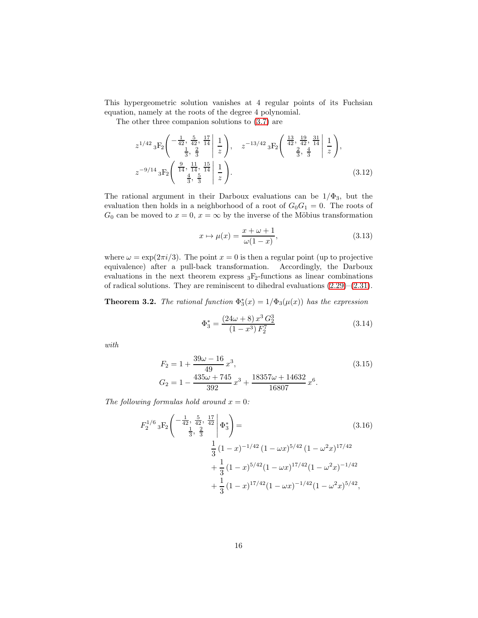This hypergeometric solution vanishes at 4 regular points of its Fuchsian equation, namely at the roots of the degree 4 polynomial.

The other three companion solutions to [\(3.7\)](#page-14-0) are

$$
z^{1/42} {}_{3}F_{2}\left(\begin{array}{cc|cc} -\frac{1}{42}, & \frac{5}{42}, & \frac{17}{14} \\ \frac{1}{3}, & \frac{2}{3} \end{array} \begin{array}{c} 1 \\ \frac{1}{2} \end{array}\right), \quad z^{-13/42} {}_{3}F_{2}\left(\begin{array}{cc|cc} \frac{13}{42}, & \frac{19}{42}, & \frac{31}{14} \\ \frac{2}{3}, & \frac{4}{3} \end{array} \begin{array}{c} 1 \\ \frac{1}{2} \end{array}\right),
$$
  

$$
z^{-9/14} {}_{3}F_{2}\left(\begin{array}{cc|cc} \frac{9}{14}, & \frac{11}{14}, & \frac{15}{14} \\ \frac{4}{3}, & \frac{5}{3} \end{array} \begin{array}{c} 1 \\ \frac{1}{2} \end{array}\right).
$$
 (3.12)

The rational argument in their Darboux evaluations can be  $1/\Phi_3$ , but the evaluation then holds in a neighborhood of a root of  $G_0G_1 = 0$ . The roots of  $G_0$  can be moved to  $x = 0$ ,  $x = \infty$  by the inverse of the Möbius transformation

<span id="page-15-1"></span><span id="page-15-0"></span>
$$
x \mapsto \mu(x) = \frac{x + \omega + 1}{\omega(1 - x)},
$$
\n(3.13)

where  $\omega = \exp(2\pi i/3)$ . The point  $x = 0$  is then a regular point (up to projective equivalence) after a pull-back transformation. Accordingly, the Darboux evaluations in the next theorem express  ${}_{3}F_{2}$ -functions as linear combinations of radical solutions. They are reminiscent to dihedral evaluations [\(2.29\)](#page-11-2)–[\(2.31\)](#page-11-3).

<span id="page-15-2"></span>**Theorem 3.2.** The rational function  $\Phi_3^*(x) = 1/\Phi_3(\mu(x))$  has the expression

$$
\Phi_3^* = \frac{(24\omega + 8) x^3 G_2^3}{(1 - x^3) F_2^7}
$$
\n(3.14)

with

$$
F_2 = 1 + \frac{39\omega - 16}{49}x^3,
$$
\n
$$
G_2 = 1 - \frac{435\omega + 745}{392}x^3 + \frac{18357\omega + 14632}{16807}x^6.
$$
\n(3.15)

The following formulas hold around  $x = 0$ :

$$
F_2^{1/6} {}_3F_2 \left( \begin{array}{c|c} -\frac{1}{42}, \frac{5}{42}, \frac{17}{42} & \frac{1}{42} \\ \frac{1}{3}, \frac{2}{3} & \frac{1}{3} \end{array} \right) = \frac{1}{3} (1-x)^{-1/42} (1 - \omega x)^{5/42} (1 - \omega^2 x)^{17/42} \\
+ \frac{1}{3} (1-x)^{5/42} (1 - \omega x)^{17/42} (1 - \omega^2 x)^{-1/42} \\
+ \frac{1}{3} (1-x)^{17/42} (1 - \omega x)^{-1/42} (1 - \omega^2 x)^{5/42},
$$
\n
$$
(3.16)
$$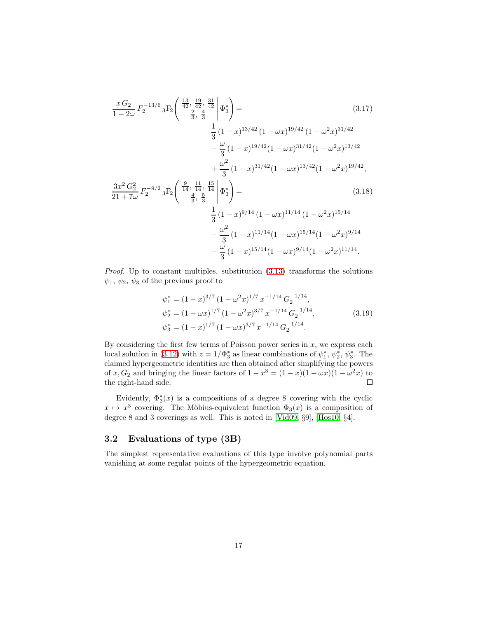$$
\frac{xG_2}{1-2\omega} F_2^{-13/6} {}_3F_2 \left( \frac{\frac{13}{42}, \frac{19}{42}}{\frac{2}{3}, \frac{4}{3}} \right) \Phi_3^* \right) =
$$
\n
$$
\frac{1}{3} (1-x)^{13/42} (1-\omega x)^{19/42} (1-\omega^2 x)^{31/42} + \frac{\omega}{3} (1-x)^{19/42} (1-\omega x)^{31/42} (1-\omega^2 x)^{13/42} + \frac{\omega^2}{3} (1-x)^{31/42} (1-\omega x)^{13/42} (1-\omega^2 x)^{19/42},
$$
\n
$$
\frac{3x^2G_2^2}{21+7\omega} F_2^{-9/2} {}_3F_2 \left( \frac{\frac{9}{14}, \frac{11}{14}, \frac{15}{14}}{\frac{4}{3}, \frac{5}{3}} \right) =
$$
\n
$$
\frac{1}{3} (1-x)^{9/14} (1-\omega x)^{11/14} (1-\omega^2 x)^{15/14} + \frac{\omega^2}{3} (1-x)^{11/14} (1-\omega x)^{15/14} (1-\omega^2 x)^{9/14} + \frac{\omega}{3} (1-x)^{15/14} (1-\omega x)^{9/14} (1-\omega^2 x)^{9/14}.
$$
\n(A.18)

Proof. Up to constant multiples, substitution [\(3.13\)](#page-15-0) transforms the solutions  $\psi_1, \psi_2, \psi_3$  of the previous proof to

$$
\psi_1^* = (1 - x)^{3/7} (1 - \omega^2 x)^{1/7} x^{-1/14} G_2^{-1/14},
$$
  
\n
$$
\psi_2^* = (1 - \omega x)^{1/7} (1 - \omega^2 x)^{3/7} x^{-1/14} G_2^{-1/14},
$$
  
\n
$$
\psi_3^* = (1 - x)^{1/7} (1 - \omega x)^{3/7} x^{-1/14} G_2^{-1/14}.
$$
\n(3.19)

By considering the first few terms of Poisson power series in  $x$ , we express each local solution in [\(3.12\)](#page-15-1) with  $z = 1/\Phi_3^*$  as linear combinations of  $\psi_1^*, \psi_2^*, \psi_3^*$ . The claimed hypergeometric identities are then obtained after simplifying the powers of x,  $G_2$  and bringing the linear factors of  $1 - x^3 = (1 - x)(1 - \omega x)(1 - \omega^2 x)$  to the right-hand side.  $\Box$ 

Evidently,  $\Phi_3^*(x)$  is a compositions of a degree 8 covering with the cyclic  $x \mapsto x^3$  covering. The Möbius-equivalent function  $\Phi_3(x)$  is a composition of degree 8 and 3 coverings as well. This is noted in [\[Vid09,](#page-36-4) §9], [\[Hos10,](#page-35-8) §4].

### 3.2 Evaluations of type (3B)

The simplest representative evaluations of this type involve polynomial parts vanishing at some regular points of the hypergeometric equation.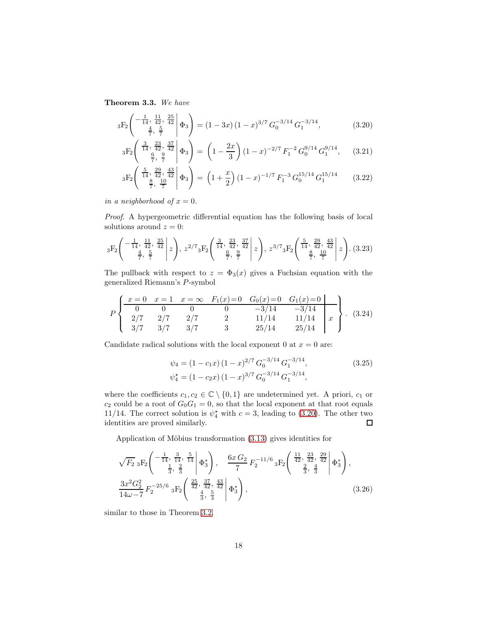<span id="page-17-1"></span>Theorem 3.3. We have

$$
{}_{3}F_{2}\left(\begin{array}{c} -\frac{1}{14}, \frac{11}{42}, \frac{25}{42} \\ \frac{4}{7}, \frac{5}{7} \end{array}\middle| \Phi_{3}\right) = (1 - 3x)(1 - x)^{3/7} G_{0}^{-3/14} G_{1}^{-3/14}, \tag{3.20}
$$

<span id="page-17-0"></span>
$$
{}_3F_2\left(\begin{array}{c|c}\n\frac{3}{14}, \frac{23}{42}, \frac{37}{42} & \hline \\
\frac{6}{7}, \frac{9}{7} & \hline\n\end{array}\right) = \left(1 - \frac{2x}{3}\right)(1 - x)^{-2/7} F_1^{-2} G_0^{9/14} G_1^{9/14},\tag{3.21}
$$

$$
{}_3F_2 \left( \begin{array}{c} \frac{5}{14}, \frac{29}{42}, \frac{43}{42} \\ \frac{8}{7}, \frac{10}{7} \end{array} \middle| \Phi_3 \right) = \left( 1 + \frac{x}{2} \right) (1 - x)^{-1/7} F_1^{-3} G_0^{15/14} G_1^{15/14} \qquad (3.22)
$$

in a neighborhood of  $x = 0$ .

Proof. A hypergeometric differential equation has the following basis of local solutions around  $z = 0$ :

$$
{}_{3}F_{2}\left(\begin{array}{c|c} -\frac{1}{14}, \frac{11}{42}, \frac{25}{42} \\ \frac{4}{7}, \frac{5}{7} \end{array} \middle| z\right), z^{2/7} {}_{3}F_{2}\left(\begin{array}{c|c} \frac{3}{14}, \frac{23}{42}, \frac{37}{42} \\ \frac{6}{7}, \frac{9}{7} \end{array} \middle| z\right), z^{3/7} {}_{3}F_{2}\left(\begin{array}{c|c} \frac{5}{14}, \frac{29}{42}, \frac{43}{42} \\ \frac{8}{7}, \frac{10}{7} \end{array} \middle| z\right). (3.23)
$$

The pullback with respect to  $z = \Phi_3(x)$  gives a Fuchsian equation with the generalized Riemann's P-symbol

$$
P\left\{\n\begin{array}{cccccc}\nx = 0 & x = 1 & x = \infty & F_1(x) = 0 & G_0(x) = 0 & G_1(x) = 0 \\
0 & 0 & 0 & 0 & -3/14 & -3/14 \\
2/7 & 2/7 & 2/7 & 2 & 11/14 & 11/14 \\
3/7 & 3/7 & 3/7 & 3 & 25/14 & 25/14\n\end{array}\n\right\}.
$$
\n(3.24)

Candidate radical solutions with the local exponent 0 at  $x = 0$  are:

$$
\psi_4 = (1 - c_1 x)(1 - x)^{2/7} G_0^{-3/14} G_1^{-3/14},
$$
\n
$$
\psi_4^* = (1 - c_2 x)(1 - x)^{3/7} G_0^{-3/14} G_1^{-3/14},
$$
\n(3.25)

where the coefficients  $c_1, c_2 \in \mathbb{C} \setminus \{0, 1\}$  are undetermined yet. A priori,  $c_1$  or  $c_2$  could be a root of  $G_0G_1 = 0$ , so that the local exponent at that root equals 11/14. The correct solution is  $\psi_4^*$  with  $c = 3$ , leading to [\(3.20\)](#page-17-0). The other two identities are proved similarly.

Application of Möbius transformation  $(3.13)$  gives identities for

$$
\sqrt{F_2} \ {}_3F_2 \left( \begin{array}{c} -\frac{1}{14}, \frac{3}{14}, \frac{5}{14} \\ \frac{1}{3}, \frac{2}{3} \end{array} \middle| \Phi_3^* \right), \quad \frac{6x G_2}{7} F_2^{-11/6} {}_3F_2 \left( \begin{array}{c} \frac{11}{42}, \frac{23}{42}, \frac{29}{42} \\ \frac{2}{3}, \frac{4}{3} \end{array} \middle| \Phi_3^* \right),
$$
  

$$
\frac{3x^2 G_2^2}{14\omega - 7} F_2^{-25/6} {}_3F_2 \left( \begin{array}{c} \frac{25}{42}, \frac{37}{42}, \frac{43}{42} \\ \frac{4}{3}, \frac{5}{3} \end{array} \middle| \Phi_3^* \right), \tag{3.26}
$$

similar to those in Theorem [3.2.](#page-15-2)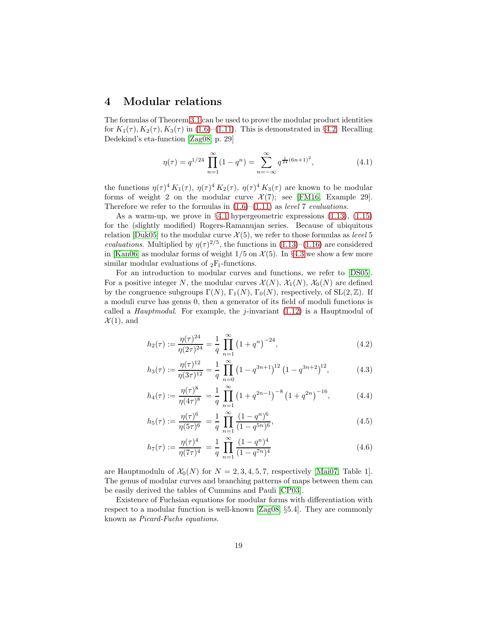### <span id="page-18-0"></span>4 Modular relations

The formulas of Theorem [3.1](#page-13-5) can be used to prove the modular product identities for  $K_1(\tau)$ ,  $K_2(\tau)$ ,  $K_3(\tau)$  in [\(1.6\)](#page-2-3)–[\(1.11\)](#page-2-2). This is demonstrated in §[4.2.](#page-20-0) Recalling Dedekind's eta-function [\[Zag08,](#page-36-10) p. 29]

<span id="page-18-3"></span>
$$
\eta(\tau) = q^{1/24} \prod_{n=1}^{\infty} (1 - q^n) = \sum_{n=-\infty}^{\infty} q^{\frac{1}{24}(6n+1)^2},
$$
\n(4.1)

the functions  $\eta(\tau)^4 K_1(\tau)$ ,  $\eta(\tau)^4 K_2(\tau)$ ,  $\eta(\tau)^4 K_3(\tau)$  are known to be modular forms of weight 2 on the modular curve  $\mathcal{X}(7)$ ; see [\[FM16,](#page-35-12) Example 29]. Therefore we refer to the formulas in  $(1.6)$ – $(1.11)$  as *level* 7 *evaluations*.

As a warm-up, we prove in  $\S 4.1$  $\S 4.1$  hypergeometric expressions  $(1.13)$ ,  $(1.15)$ for the (slightly modified) Rogers-Ramanujan series. Because of ubiquitous relation [\[Duk05\]](#page-35-11) to the modular curve  $\mathcal{X}(5)$ , we refer to those formulas as *level* 5 *evaluations*. Multiplied by  $\eta(\tau)^{2/5}$ , the functions in [\(1.13\)](#page-3-0)–[\(1.16\)](#page-3-3) are considered in [\[Kan06\]](#page-35-16) as modular forms of weight  $1/5$  on  $\mathcal{X}(5)$ . In §[4.3](#page-23-0) we show a few more similar modular evaluations of  $_2F_1$ -functions.

For an introduction to modular curves and functions, we refer to [\[DS05\]](#page-35-17). For a positive integer N, the modular curves  $\mathcal{X}(N)$ ,  $\mathcal{X}_1(N)$ ,  $\mathcal{X}_0(N)$  are defined by the congruence subgroups  $\Gamma(N)$ ,  $\Gamma_1(N)$ ,  $\Gamma_0(N)$ , respectively, of  $SL(2, \mathbb{Z})$ . If a moduli curve has genus 0, then a generator of its field of moduli functions is called a *Hauptmodul*. For example, the *j*-invariant  $(1.12)$  is a Hauptmodul of  $\mathcal{X}(1)$ , and

$$
h_2(\tau) := \frac{\eta(\tau)^{24}}{\eta(2\tau)^{24}} = \frac{1}{q} \prod_{n=1}^{\infty} \left(1 + q^n\right)^{-24},\tag{4.2}
$$

<span id="page-18-4"></span>
$$
h_3(\tau) := \frac{\eta(\tau)^{12}}{\eta(3\tau)^{12}} = \frac{1}{q} \prod_{n=0}^{\infty} \left(1 - q^{3n+1}\right)^{12} \left(1 - q^{3n+2}\right)^{12},\tag{4.3}
$$

$$
h_4(\tau) := \frac{\eta(\tau)^8}{\eta(4\tau)^8} = \frac{1}{q} \prod_{n=1}^{\infty} \left(1 + q^{2n-1}\right)^{-8} \left(1 + q^{2n}\right)^{-16},\tag{4.4}
$$

<span id="page-18-1"></span>
$$
h_5(\tau) := \frac{\eta(\tau)^6}{\eta(5\tau)^6} = \frac{1}{q} \prod_{n=1}^{\infty} \frac{(1-q^n)^6}{(1-q^{5n})^6},\tag{4.5}
$$

<span id="page-18-2"></span>
$$
h_7(\tau) := \frac{\eta(\tau)^4}{\eta(7\tau)^4} = \frac{1}{q} \prod_{n=1}^{\infty} \frac{(1-q^n)^4}{(1-q^{7n})^4}
$$
(4.6)

are Hauptmoduln of  $\mathcal{X}_0(N)$  for  $N = 2, 3, 4, 5, 7$ , respectively [\[Mai07,](#page-35-18) Table 1]. The genus of modular curves and branching patterns of maps between them can be easily derived the tables of Cummins and Pauli [\[CP03\]](#page-35-19).

Existence of Fuchsian equations for modular forms with differentiation with respect to a modular function is well-known [\[Zag08,](#page-36-10) §5.4]. They are commonly known as Picard-Fuchs equations.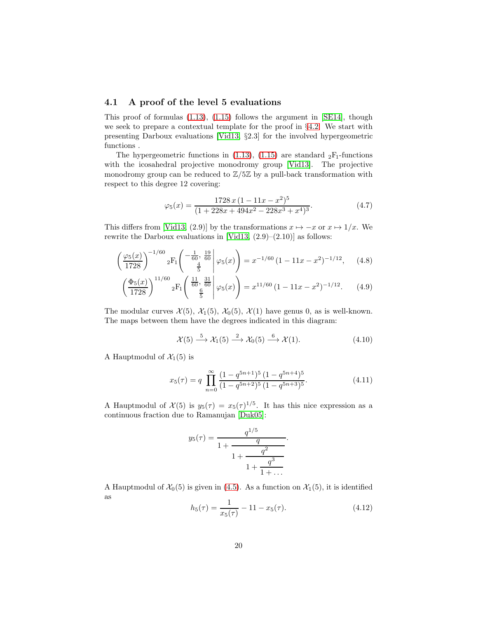#### <span id="page-19-0"></span>4.1 A proof of the level 5 evaluations

This proof of formulas  $(1.13)$ ,  $(1.15)$  follows the argument in [\[SE14\]](#page-36-5), though we seek to prepare a contextual template for the proof in §[4.2.](#page-20-0) We start with presenting Darboux evaluations [\[Vid13,](#page-36-0) §2.3] for the involved hypergeometric functions .

The hypergeometric functions in [\(1.13\)](#page-3-0), [\(1.15\)](#page-3-2) are standard  $_2F_1$ -functions with the icosahedral projective monodromy group [\[Vid13\]](#page-36-0). The projective monodromy group can be reduced to  $\mathbb{Z}/5\mathbb{Z}$  by a pull-back transformation with respect to this degree 12 covering:

<span id="page-19-1"></span>
$$
\varphi_5(x) = \frac{1728 x (1 - 11x - x^2)^5}{(1 + 228x + 494x^2 - 228x^3 + x^4)^3}.
$$
\n(4.7)

This differs from [\[Vid13,](#page-36-0) (2.9)] by the transformations  $x \mapsto -x$  or  $x \mapsto 1/x$ . We rewrite the Darboux evaluations in [\[Vid13,](#page-36-0)  $(2.9)$ – $(2.10)$ ] as follows:

$$
\left(\frac{\varphi_5(x)}{1728}\right)^{-1/60} {}_2F_1\left(\begin{array}{c} -\frac{1}{60}, \frac{19}{60} \\ \frac{4}{5} \end{array} \middle| \varphi_5(x) \right) = x^{-1/60} \left(1 - 11x - x^2\right)^{-1/12}, \quad (4.8)
$$

$$
\left(\frac{\Phi_5(x)}{1728}\right)^{11/60} {}_2F_1\left(\begin{array}{c} \frac{11}{60}, \frac{31}{60} \\ \frac{6}{5} \end{array} \middle| \varphi_5(x)\right) = x^{11/60} \left(1 - 11x - x^2\right)^{-1/12}.\tag{4.9}
$$

The modular curves  $\mathcal{X}(5)$ ,  $\mathcal{X}_1(5)$ ,  $\mathcal{X}_0(5)$ ,  $\mathcal{X}(1)$  have genus 0, as is well-known. The maps between them have the degrees indicated in this diagram:

<span id="page-19-3"></span><span id="page-19-2"></span>
$$
\mathcal{X}(5) \xrightarrow{5} \mathcal{X}_1(5) \xrightarrow{2} \mathcal{X}_0(5) \xrightarrow{6} \mathcal{X}(1). \tag{4.10}
$$

A Hauptmodul of  $\mathcal{X}_1(5)$  is

<span id="page-19-4"></span>
$$
x_5(\tau) = q \prod_{n=0}^{\infty} \frac{(1 - q^{5n+1})^5 (1 - q^{5n+4})^5}{(1 - q^{5n+2})^5 (1 - q^{5n+3})^5}.
$$
 (4.11)

A Hauptmodul of  $\mathcal{X}(5)$  is  $y_5(\tau) = x_5(\tau)^{1/5}$ . It has this nice expression as a continuous fraction due to Ramanujan [\[Duk05\]](#page-35-11):

$$
y_5(\tau) = \cfrac{q^{1/5}}{1 + \cfrac{q}{1 + \cfrac{q^2}{1 + \cfrac{q^3}{1 + \dots}}}}.
$$

A Hauptmodul of  $\mathcal{X}_0(5)$  is given in [\(4.5\)](#page-18-1). As a function on  $\mathcal{X}_1(5)$ , it is identified as

$$
h_5(\tau) = \frac{1}{x_5(\tau)} - 11 - x_5(\tau). \tag{4.12}
$$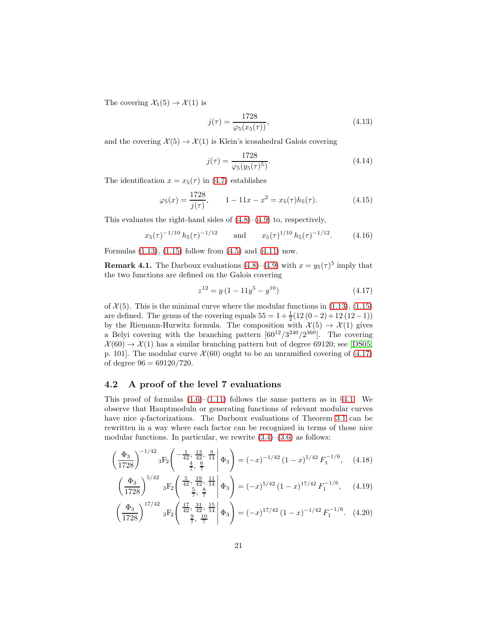The covering  $\mathcal{X}_1(5) \to \mathcal{X}(1)$  is

$$
j(\tau) = \frac{1728}{\varphi_5(x_5(\tau))},\tag{4.13}
$$

and the covering  $\mathcal{X}(5) \to \mathcal{X}(1)$  is Klein's icosahedral Galois covering

$$
j(\tau) = \frac{1728}{\varphi_5(y_5(\tau)^5)}.\tag{4.14}
$$

The identification  $x = x_5(\tau)$  in [\(4.7\)](#page-19-1) establishes

$$
\varphi_5(x) = \frac{1728}{j(\tau)}, \qquad 1 - 11x - x^2 = x_5(\tau)h_5(\tau). \tag{4.15}
$$

This evaluates the right-hand sides of [\(4.8\)](#page-19-2)–[\(4.9\)](#page-19-3) to, respectively,

$$
x_5(\tau)^{-1/10} h_5(\tau)^{-1/12}
$$
 and  $x_5(\tau)^{1/10} h_5(\tau)^{-1/12}$ . (4.16)

Formulas  $(1.13)$ ,  $(1.15)$  follow from  $(4.5)$  and  $(4.11)$  now.

<span id="page-20-4"></span>**Remark 4.1.** The Darboux evaluations  $(4.8)$ – $(4.9)$  with  $x = y_5(\tau)^5$  imply that the two functions are defined on the Galois covering

<span id="page-20-2"></span><span id="page-20-1"></span>
$$
z^{12} = y\left(1 - 11y^5 - y^{10}\right) \tag{4.17}
$$

of  $\mathcal{X}(5)$ . This is the minimal curve where the modular functions in [\(1.13\)](#page-3-0), [\(1.15\)](#page-3-2) are defined. The genus of the covering equals  $55 = 1 + \frac{1}{2}(12(0-2) + 12(12-1))$ by the Riemann-Hurwitz formula. The composition with  $\mathcal{X}(5) \to \mathcal{X}(1)$  gives a Belyi covering with the branching pattern  $[60^{12}/3^{240}/2^{360}]$ . The covering  $\mathcal{X}(60) \to \mathcal{X}(1)$  has a similar branching pattern but of degree 69120; see [\[DS05,](#page-35-17) p. 101. The modular curve  $\mathcal{X}(60)$  ought to be an unramified covering of [\(4.17\)](#page-20-1) of degree  $96 = 69120/720$ .

### <span id="page-20-0"></span>4.2 A proof of the level 7 evaluations

This proof of formulas  $(1.6)$ – $(1.11)$  follows the same pattern as in §[4.1.](#page-19-0) We observe that Hauptmoduln or generating functions of relevant modular curves have nice  $q$ -factorizations. The Darboux evaluations of Theorem [3.1](#page-13-5) can be rewritten in a way where each factor can be recognized in terms of those nice modular functions. In particular, we rewrite  $(3.4)$ – $(3.6)$  as follows:

$$
\left(\frac{\Phi_3}{1728}\right)^{-1/42} {}_3F_2 \left( \begin{array}{rr} -\frac{1}{42}, \frac{13}{42}, \frac{9}{14} \\ \frac{4}{7}, \frac{6}{7} \end{array} \middle| \Phi_3 \right) = (-x)^{-1/42} (1-x)^{5/42} F_1^{-1/6}, \quad (4.18)
$$

$$
\left(\frac{\Phi_3}{1728}\right)^{5/42} \, {}_3F_2\left(\begin{array}{c} \frac{5}{42}, \frac{19}{42}, \frac{11}{14} \\ \frac{5}{7}, \frac{8}{7} \end{array}\middle| \Phi_3\right) = (-x)^{5/42} \, (1-x)^{17/42} \, F_1^{-1/6}, \qquad (4.19)
$$

<span id="page-20-3"></span>
$$
\left(\frac{\Phi_3}{1728}\right)^{17/42} \, {}_3F_2 \left( \begin{array}{c} \frac{17}{42}, \frac{31}{42}, \frac{15}{14} \\ \frac{9}{7}, \frac{10}{7} \end{array} \bigg|\, \Phi_3 \right) = (-x)^{17/42} \, (1-x)^{-1/42} \, F_1^{-1/6}.\tag{4.20}
$$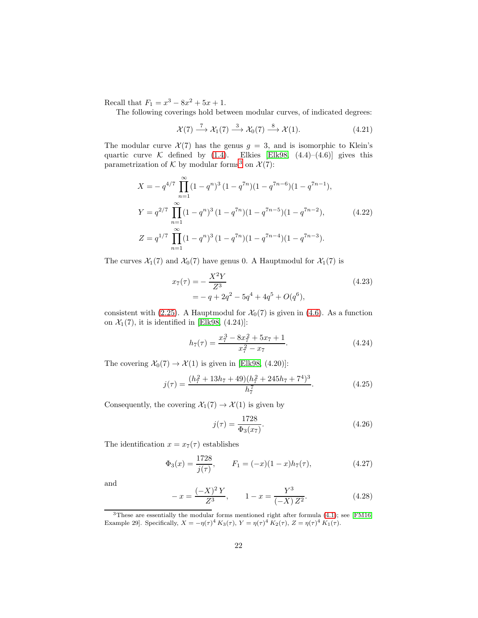Recall that  $F_1 = x^3 - 8x^2 + 5x + 1$ .

The following coverings hold between modular curves, of indicated degrees:

$$
\mathcal{X}(7) \xrightarrow{7} \mathcal{X}_1(7) \xrightarrow{3} \mathcal{X}_0(7) \xrightarrow{8} \mathcal{X}(1).
$$
 (4.21)

The modular curve  $\mathcal{X}(7)$  has the genus  $g = 3$ , and is isomorphic to Klein's quartic curve K defined by  $(1.4)$ . Elkies [\[Elk98,](#page-35-7)  $(4.4)$ – $(4.6)$ ] gives this parametrization of  $K$  by modular forms<sup>[3](#page-21-1)</sup> on  $\mathcal{X}(7)$ :

$$
X = -q^{4/7} \prod_{n=1}^{\infty} (1 - q^n)^3 (1 - q^{7n}) (1 - q^{7n-6}) (1 - q^{7n-1}),
$$
  
\n
$$
Y = q^{2/7} \prod_{n=1}^{\infty} (1 - q^n)^3 (1 - q^{7n}) (1 - q^{7n-5}) (1 - q^{7n-2}),
$$
  
\n
$$
Z = q^{1/7} \prod_{n=1}^{\infty} (1 - q^n)^3 (1 - q^{7n}) (1 - q^{7n-4}) (1 - q^{7n-3}).
$$
\n(4.22)

The curves  $\mathcal{X}_1(7)$  and  $\mathcal{X}_0(7)$  have genus 0. A Hauptmodul for  $\mathcal{X}_1(7)$  is

<span id="page-21-2"></span>
$$
x_7(\tau) = -\frac{X^2 Y}{Z^3}
$$
  
= -q + 2q<sup>2</sup> - 5q<sup>4</sup> + 4q<sup>5</sup> + O(q<sup>6</sup>), (4.23)

consistent with [\(2.25\)](#page-9-3). A Hauptmodul for  $\mathcal{X}_0(7)$  is given in [\(4.6\)](#page-18-2). As a function on  $\mathcal{X}_1(7)$ , it is identified in [\[Elk98,](#page-35-7) (4.24)]:

<span id="page-21-0"></span>
$$
h_7(\tau) = \frac{x_7^3 - 8x_7^2 + 5x_7 + 1}{x_7^2 - x_7}.\tag{4.24}
$$

The covering  $\mathcal{X}_0(7) \to \mathcal{X}(1)$  is given in [\[Elk98,](#page-35-7) (4.20)]:

$$
j(\tau) = \frac{(h_7^2 + 13h_7 + 49)(h_7^2 + 245h_7 + 7^4)^3}{h_7^7}.
$$
 (4.25)

Consequently, the covering  $\mathcal{X}_1(7) \to \mathcal{X}(1)$  is given by

$$
j(\tau) = \frac{1728}{\Phi_3(x_7)}.\t(4.26)
$$

The identification  $x = x_7(\tau)$  establishes

$$
\Phi_3(x) = \frac{1728}{j(\tau)}, \qquad F_1 = (-x)(1-x)h_7(\tau), \tag{4.27}
$$

and

$$
-x = \frac{(-X)^2 Y}{Z^3}, \qquad 1 - x = \frac{Y^3}{(-X) Z^2}.
$$
 (4.28)

<span id="page-21-1"></span><sup>3</sup>These are essentially the modular forms mentioned right after formula [\(4.1\)](#page-18-3); see [\[FM16,](#page-35-12) Example 29]. Specifically,  $X = -\eta(\tau)^4 K_3(\tau)$ ,  $Y = \eta(\tau)^4 K_2(\tau)$ ,  $Z = \eta(\tau)^4 K_1(\tau)$ .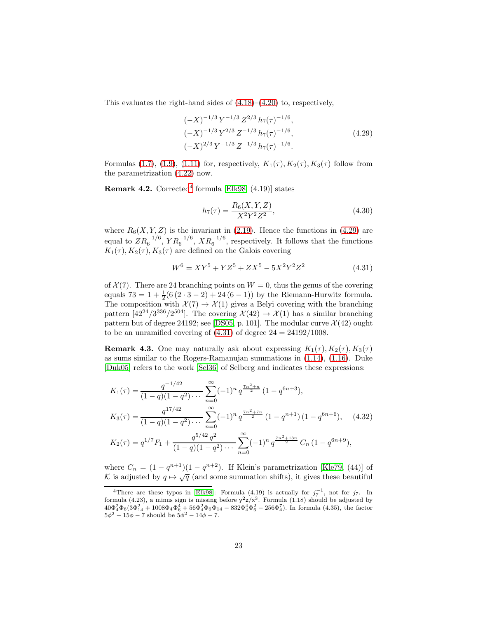This evaluates the right-hand sides of [\(4.18\)](#page-20-2)–[\(4.20\)](#page-20-3) to, respectively,

$$
(-X)^{-1/3} Y^{-1/3} Z^{2/3} h_7(\tau)^{-1/6},
$$
  
\n
$$
(-X)^{-1/3} Y^{2/3} Z^{-1/3} h_7(\tau)^{-1/6},
$$
  
\n
$$
(-X)^{2/3} Y^{-1/3} Z^{-1/3} h_7(\tau)^{-1/6}.
$$
\n(4.29)

Formulas [\(1.7\)](#page-2-0), [\(1.9\)](#page-2-1), [\(1.11\)](#page-2-2) for, respectively,  $K_1(\tau)$ ,  $K_2(\tau)$ ,  $K_3(\tau)$  follow from the parametrization [\(4.22\)](#page-21-2) now.

**Remark [4](#page-22-0).2.** Corrected<sup>4</sup> formula [\[Elk98,](#page-35-7)  $(4.19)$ ] states

<span id="page-22-1"></span>
$$
h_7(\tau) = \frac{R_6(X, Y, Z)}{X^2 Y^2 Z^2},\tag{4.30}
$$

where  $R_6(X, Y, Z)$  is the invariant in [\(2.19\)](#page-8-2). Hence the functions in [\(4.29\)](#page-22-1) are equal to  $ZR_6^{-1/6}, YR_6^{-1/6}, XR_6^{-1/6}$ , respectively. It follows that the functions  $K_1(\tau), K_2(\tau), K_3(\tau)$  are defined on the Galois covering

<span id="page-22-2"></span>
$$
W^6 = XY^5 + YZ^5 + ZX^5 - 5X^2Y^2Z^2 \tag{4.31}
$$

of  $\mathcal{X}(7)$ . There are 24 branching points on  $W = 0$ , thus the genus of the covering equals  $73 = 1 + \frac{1}{2}(6(2 \cdot 3 - 2) + 24(6 - 1))$  by the Riemann-Hurwitz formula. The composition with  $\mathcal{X}(7) \to \mathcal{X}(1)$  gives a Belyi covering with the branching pattern  $[42^{24}/3^{336}/2^{504}]$ . The covering  $\mathcal{X}(42) \to \mathcal{X}(1)$  has a similar branching pattern but of degree 24192; see [\[DS05,](#page-35-17) p. 101]. The modular curve  $\mathcal{X}(42)$  ought to be an unramified covering of  $(4.31)$  of degree  $24 = 24192/1008$ .

**Remark 4.3.** One may naturally ask about expressing  $K_1(\tau)$ ,  $K_2(\tau)$ ,  $K_3(\tau)$ as sums similar to the Rogers-Ramanujan summations in [\(1.14\)](#page-3-1), [\(1.16\)](#page-3-3). Duke [\[Duk05\]](#page-35-11) refers to the work [\[Sel36\]](#page-36-11) of Selberg and indicates these expressions:

$$
K_1(\tau) = \frac{q^{-1/42}}{(1-q)(1-q^2)\cdots} \sum_{n=0}^{\infty} (-1)^n q^{\frac{\tau_n^2+n}{2}} (1-q^{6n+3}),
$$
  
\n
$$
K_3(\tau) = \frac{q^{17/42}}{(1-q)(1-q^2)\cdots} \sum_{n=0}^{\infty} (-1)^n q^{\frac{\tau_n^2+\tau_n}{2}} (1-q^{n+1}) (1-q^{6n+6}), \quad (4.32)
$$
  
\n
$$
K_2(\tau) = q^{1/7} F_1 + \frac{q^{5/42} q^2}{(1-q)(1-q^2)\cdots} \sum_{n=0}^{\infty} (-1)^n q^{\frac{\tau_n^2+13n}{2}} C_n (1-q^{6n+9}),
$$

where  $C_n = (1 - q^{n+1})(1 - q^{n+2})$ . If Klein's parametrization [\[Kle79,](#page-35-14) (44)] of K is adjusted by  $q \mapsto \sqrt{q}$  (and some summation shifts), it gives these beautiful

<span id="page-22-0"></span><sup>&</sup>lt;sup>4</sup>There are these typos in [\[Elk98\]](#page-35-7): Formula (4.19) is actually for  $j_7^{-1}$ , not for  $j_7$ . In formula (4.23), a minus sign is missing before  $y^2z/x^3$ . Formula (1.18) should be adjusted by  $40\Phi_4^2\Phi_6(3\Phi_{14}^2 + 1008\Phi_4\Phi_6^4 + 56\Phi_4^2\Phi_6\Phi_{14} - 832\Phi_4^4\Phi_6^2 - 256\Phi_4^7$ ). In formula (4.35), the factor  $5\phi^2 - 15\phi - 7$  should be  $5\phi^2 - 14\phi - 7$ .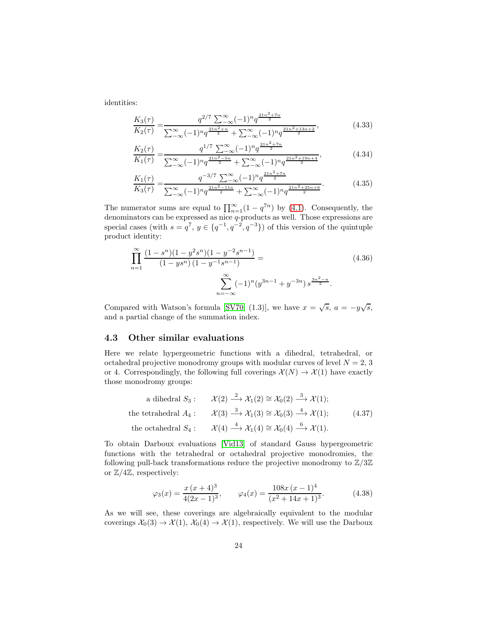identities:

$$
\frac{K_3(\tau)}{K_2(\tau)} = \frac{q^{2/7} \sum_{-\infty}^{\infty} (-1)^n q^{\frac{21n^2 + 7n}{2}}}{\sum_{-\infty}^{\infty} (-1)^n q^{\frac{21n^2 + n}{2}} + \sum_{-\infty}^{\infty} (-1)^n q^{\frac{21n^2 + 13n + 2}{2}}},
$$
(4.33)

$$
\frac{K_2(\tau)}{K_1(\tau)} = \frac{q^{1/7} \sum_{-\infty}^{\infty} (-1)^n q^{\frac{21n^2 + 7n}{2}}}{\sum_{-\infty}^{\infty} (-1)^n q^{\frac{21n^2 - 5n}{2}} + \sum_{-\infty}^{\infty} (-1)^n q^{\frac{21n^2 + 19n + 4}{2}}},
$$
(4.34)

$$
\frac{K_1(\tau)}{K_3(\tau)} = \frac{q^{-3/7} \sum_{-\infty}^{\infty} (-1)^n q^{\frac{21n^2 + 7n}{2}}}{\sum_{-\infty}^{\infty} (-1)^n q^{\frac{21n^2 - 11n}{2}} + \sum_{-\infty}^{\infty} (-1)^n q^{\frac{21n^2 + 25n + 6}{2}}}.
$$
(4.35)

The numerator sums are equal to  $\prod_{n=1}^{\infty} (1 - q^{7n})$  by [\(4.1\)](#page-18-3). Consequently, the denominators can be expressed as nice q-products as well. Those expressions are special cases (with  $s = q^7$ ,  $y \in \{q^{-1}, q^{-2}, q^{-3}\}\$  of this version of the quintuple product identity:

$$
\prod_{n=1}^{\infty} \frac{(1-s^n)(1-y^2s^n)(1-y^{-2}s^{n-1})}{(1-ys^n)(1-y^{-1}s^{n-1})} = \sum_{n=-\infty}^{\infty} (-1)^n (y^{3n-1} + y^{-3n}) s^{\frac{3n^2-n}{2}}.
$$
\n(4.36)

Compared with Watson's formula [\[SV70,](#page-36-12) (1.3)], we have  $x = \sqrt{s}$ ,  $a = -y\sqrt{s}$ , and a partial change of the summation index.

#### <span id="page-23-0"></span>4.3 Other similar evaluations

Here we relate hypergeometric functions with a dihedral, tetrahedral, or octahedral projective monodromy groups with modular curves of level  $N = 2, 3$ or 4. Correspondingly, the following full coverings  $\mathcal{X}(N) \to \mathcal{X}(1)$  have exactly those monodromy groups:

a dihedral 
$$
S_3
$$
:  $\mathcal{X}(2) \xrightarrow{2} \mathcal{X}_1(2) \cong \mathcal{X}_0(2) \xrightarrow{3} \mathcal{X}(1);$   
\nthe tetrahedral  $A_4$ :  $\mathcal{X}(3) \xrightarrow{3} \mathcal{X}_1(3) \cong \mathcal{X}_0(3) \xrightarrow{4} \mathcal{X}(1);$  (4.37)  
\nthe octahedral  $S_4$ :  $\mathcal{X}(4) \xrightarrow{4} \mathcal{X}_1(4) \cong \mathcal{X}_0(4) \xrightarrow{6} \mathcal{X}(1).$ 

To obtain Darboux evaluations [\[Vid13\]](#page-36-0) of standard Gauss hypergeometric functions with the tetrahedral or octahedral projective monodromies, the following pull-back transformations reduce the projective monodromy to  $\mathbb{Z}/3\mathbb{Z}$ or  $\mathbb{Z}/4\mathbb{Z}$ , respectively:

$$
\varphi_3(x) = \frac{x(x+4)^3}{4(2x-1)^3}, \qquad \varphi_4(x) = \frac{108x(x-1)^4}{(x^2+14x+1)^3}.
$$
\n(4.38)

As we will see, these coverings are algebraically equivalent to the modular coverings  $\mathcal{X}_0(3) \to \mathcal{X}(1)$ ,  $\mathcal{X}_0(4) \to \mathcal{X}(1)$ , respectively. We will use the Darboux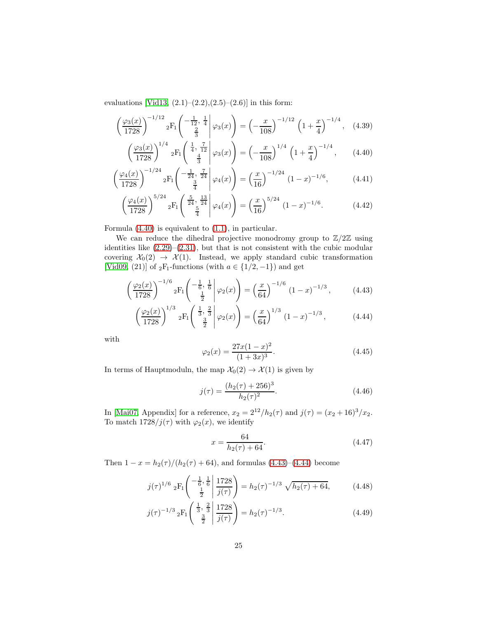evaluations [\[Vid13,](#page-36-0)  $(2.1)$ – $(2.2)$ , $(2.5)$ – $(2.6)$ ] in this form:

$$
\left(\frac{\varphi_3(x)}{1728}\right)^{-1/12} {}_2F_1\left(\begin{array}{c|c} -\frac{1}{12}, & \frac{1}{4} \\ \frac{2}{3} & \varphi_3(x) \end{array}\right) = \left(-\frac{x}{108}\right)^{-1/12} \left(1 + \frac{x}{4}\right)^{-1/4}, \quad (4.39)
$$

<span id="page-24-4"></span><span id="page-24-0"></span>
$$
\left(\frac{\varphi_3(x)}{1728}\right)^{1/4} {}_2F_1\left(\frac{\frac{1}{4}, \frac{7}{12}}{\frac{4}{3}} \middle| \varphi_3(x)\right) = \left(-\frac{x}{108}\right)^{1/4} \left(1 + \frac{x}{4}\right)^{-1/4},\qquad(4.40)
$$

$$
\left(\frac{\varphi_4(x)}{1728}\right)^{-1/24} {}_2F_1\left(\begin{array}{c|c}\frac{1}{24}, \frac{7}{24} & \varphi_4(x) \\ \frac{3}{4} & \varphi_4(x)\end{array}\right) = \left(\frac{x}{16}\right)^{-1/24} (1-x)^{-1/6},\tag{4.41}
$$

$$
\left(\frac{\varphi_4(x)}{1728}\right)^{5/24} {}_2F_1\left(\begin{array}{c} \frac{5}{24}, \frac{13}{24} \\ \frac{5}{4} \end{array} \middle| \varphi_4(x)\right) = \left(\frac{x}{16}\right)^{5/24} (1-x)^{-1/6}.\tag{4.42}
$$

Formula [\(4.40\)](#page-24-0) is equivalent to [\(1.1\)](#page-0-0), in particular.

We can reduce the dihedral projective monodromy group to  $\mathbb{Z}/2\mathbb{Z}$  using identities like  $(2.29)$ – $(2.31)$ , but that is not consistent with the cubic modular covering  $\mathcal{X}_0(2) \to \mathcal{X}(1)$ . Instead, we apply standard cubic transformation [\[Vid09,](#page-36-4) (21)] of <sub>2</sub>F<sub>1</sub>-functions (with  $a \in \{1/2, -1\}$ ) and get

$$
\left(\frac{\varphi_2(x)}{1728}\right)^{-1/6} {}_2F_1\left(\begin{array}{c} -\frac{1}{6}, \frac{1}{6} \\ \frac{1}{2} \end{array} \middle| \varphi_2(x)\right) = \left(\frac{x}{64}\right)^{-1/6} (1-x)^{-1/3},\tag{4.43}
$$

$$
\left(\frac{\varphi_2(x)}{1728}\right)^{1/3} {}_2F_1\left(\frac{\frac{1}{3},\frac{2}{3}}{\frac{3}{2}}\middle|\varphi_2(x)\right) = \left(\frac{x}{64}\right)^{1/3} (1-x)^{-1/3},\tag{4.44}
$$

with

<span id="page-24-6"></span><span id="page-24-5"></span><span id="page-24-2"></span><span id="page-24-1"></span>
$$
\varphi_2(x) = \frac{27x(1-x)^2}{(1+3x)^3}.\tag{4.45}
$$

In terms of Hauptmoduln, the map  $\mathcal{X}_0(2) \to \mathcal{X}(1)$  is given by

$$
j(\tau) = \frac{(h_2(\tau) + 256)^3}{h_2(\tau)^2}.
$$
\n(4.46)

In [\[Mai07,](#page-35-18) Appendix] for a reference,  $x_2 = 2^{12}/h_2(\tau)$  and  $j(\tau) = (x_2 + 16)^3/x_2$ . To match  $1728/j(\tau)$  with  $\varphi_2(x)$ , we identify

<span id="page-24-3"></span>
$$
x = \frac{64}{h_2(\tau) + 64}.\tag{4.47}
$$

Then  $1 - x = h_2(\tau)/(h_2(\tau) + 64)$ , and formulas [\(4.43\)](#page-24-1)–[\(4.44\)](#page-24-2) become

$$
j(\tau)^{1/6} {}_{2}F_{1}\left(\begin{array}{c} -\frac{1}{6}, \frac{1}{6} \\ \frac{1}{2} \end{array} \middle| \frac{1728}{j(\tau)} \right) = h_{2}(\tau)^{-1/3} \sqrt{h_{2}(\tau) + 64}, \quad (4.48)
$$

$$
j(\tau)^{-1/3} {}_{2}F_{1}\left(\frac{\frac{1}{3}, \frac{2}{3}}{\frac{3}{2}} \middle| \frac{1728}{j(\tau)}\right) = h_{2}(\tau)^{-1/3}.
$$
 (4.49)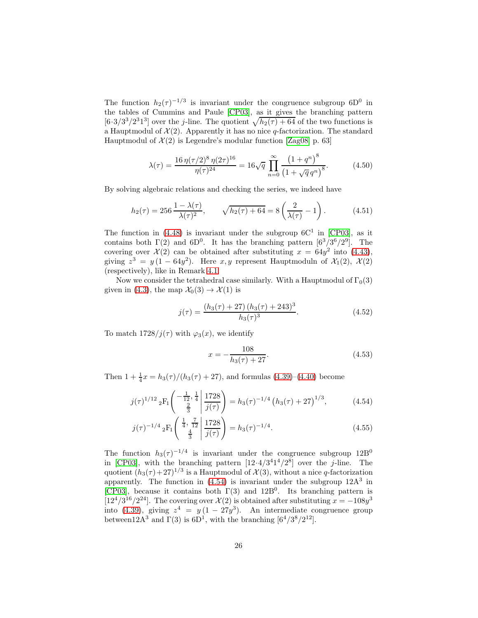The function  $h_2(\tau)^{-1/3}$  is invariant under the congruence subgroup 6D<sup>0</sup> in the tables of Cummins and Paule [\[CP03\]](#page-35-19), as it gives the branching pattern  $[6\cdot3/3^3/2^31^3]$  over the *j*-line. The quotient  $\sqrt{h_2(\tau)+64}$  of the two functions is a Hauptmodul of  $\mathcal{X}(2)$ . Apparently it has no nice q-factorization. The standard Hauptmodul of  $\mathcal{X}(2)$  is Legendre's modular function [\[Zag08,](#page-36-10) p. 63]

$$
\lambda(\tau) = \frac{16 \,\eta(\tau/2)^8 \,\eta(2\tau)^{16}}{\eta(\tau)^{24}} = 16\sqrt{q} \,\prod_{n=0}^{\infty} \frac{\left(1+q^n\right)^8}{\left(1+\sqrt{q} \,q^n\right)^8}.\tag{4.50}
$$

By solving algebraic relations and checking the series, we indeed have

$$
h_2(\tau) = 256 \frac{1 - \lambda(\tau)}{\lambda(\tau)^2}, \qquad \sqrt{h_2(\tau) + 64} = 8\left(\frac{2}{\lambda(\tau)} - 1\right). \tag{4.51}
$$

The function in [\(4.48\)](#page-24-3) is invariant under the subgroup  $6C^1$  in [\[CP03\]](#page-35-19), as it contains both  $\Gamma(2)$  and  $6D^0$ . It has the branching pattern  $[6^3/3^6/2^9]$ . The covering over  $\mathcal{X}(2)$  can be obtained after substituting  $x = 64y^2$  into [\(4.43\)](#page-24-1), giving  $z^3 = y(1 - 64y^2)$ . Here  $x, y$  represent Hauptmoduln of  $\mathcal{X}_1(2), \mathcal{X}(2)$ (respectively), like in Remark [4.1.](#page-20-4)

Now we consider the tetrahedral case similarly. With a Hauptmodul of  $\Gamma_0(3)$ given in [\(4.3\)](#page-18-4), the map  $\mathcal{X}_0(3) \to \mathcal{X}(1)$  is

$$
j(\tau) = \frac{(h_3(\tau) + 27)(h_3(\tau) + 243)^3}{h_3(\tau)^3}.
$$
 (4.52)

To match  $1728/j(\tau)$  with  $\varphi_3(x)$ , we identify

<span id="page-25-0"></span>
$$
x = -\frac{108}{h_3(\tau) + 27}.\tag{4.53}
$$

Then  $1 + \frac{1}{4}x = h_3(\tau)/(h_3(\tau) + 27)$ , and formulas [\(4.39\)](#page-24-4)–[\(4.40\)](#page-24-0) become

$$
j(\tau)^{1/12} {}_{2}F_{1}\left(\begin{array}{c} -\frac{1}{12}, \frac{1}{4} \\ \frac{2}{3} \end{array} \middle| \frac{1728}{j(\tau)} \right) = h_{3}(\tau)^{-1/4} \left( h_{3}(\tau) + 27 \right)^{1/3}, \tag{4.54}
$$

$$
j(\tau)^{-1/4} {}_{2}F_{1}\left(\frac{\frac{1}{4}, \frac{7}{12}}{\frac{4}{3}} \middle| \frac{1728}{j(\tau)}\right) = h_{3}(\tau)^{-1/4}.
$$
 (4.55)

The function  $h_3(\tau)^{-1/4}$  is invariant under the congruence subgroup 12B<sup>0</sup> in [\[CP03\]](#page-35-19), with the branching pattern  $[12.4/3^41^4/2^8]$  over the *j*-line. The quotient  $(h_3(\tau) + 27)^{1/3}$  is a Hauptmodul of  $\mathcal{X}(3)$ , without a nice q-factorization apparently. The function in  $(4.54)$  is invariant under the subgroup  $12A<sup>3</sup>$  in [\[CP03\]](#page-35-19), because it contains both  $\Gamma(3)$  and 12B<sup>0</sup>. Its branching pattern is [12<sup>4</sup>/3<sup>16</sup>/2<sup>24</sup>]. The covering over  $\mathcal{X}(2)$  is obtained after substituting  $x = -108y^3$ into [\(4.39\)](#page-24-4), giving  $z^4 = y(1 - 27y^3)$ . An intermediate congruence group between  $12A^3$  and  $\Gamma(3)$  is  $6D^1$ , with the branching  $[6^4/3^8/2^{12}]$ .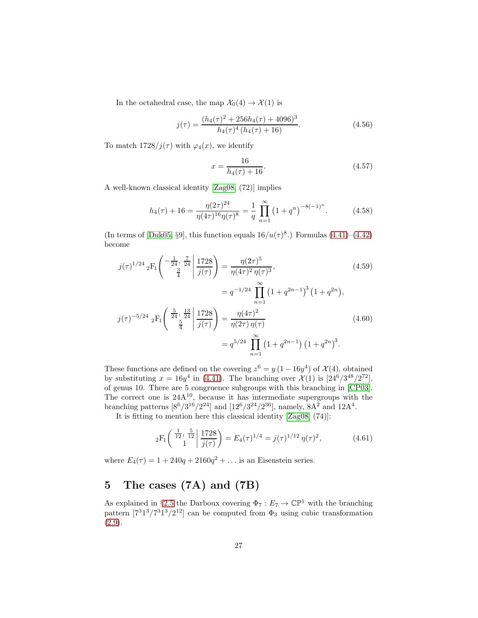In the octahedral case, the map  $\mathcal{X}_0(4) \to \mathcal{X}(1)$  is

$$
j(\tau) = \frac{(h_4(\tau))^2 + 256h_4(\tau) + 4096)^3}{h_4(\tau)^4 (h_4(\tau) + 16)}.
$$
\n(4.56)

To match  $1728/j(\tau)$  with  $\varphi_4(x)$ , we identify

$$
x = \frac{16}{h_4(\tau) + 16}.\tag{4.57}
$$

A well-known classical identity [\[Zag08,](#page-36-10) (72)] implies

$$
h_4(\tau) + 16 = \frac{\eta(2\tau)^{24}}{\eta(4\tau)^{16}\eta(\tau)^8} = \frac{1}{q} \prod_{n=1}^{\infty} \left(1 + q^n\right)^{-8(-1)^n}.
$$
 (4.58)

(In terms of [\[Duk05,](#page-35-11) §9], this function equals  $16/u(\tau)^8$ .) Formulas [\(4.41\)](#page-24-5)–[\(4.42\)](#page-24-6) become

$$
j(\tau)^{1/24} {}_{2}F_{1}\left(\begin{array}{c} -\frac{1}{24}, \frac{7}{24} \\ \frac{3}{4} \end{array} \middle| \frac{1728}{j(\tau)} \right) = \frac{\eta(2\tau)^{5}}{\eta(4\tau)^{2} \eta(\tau)^{3}},
$$
\n
$$
= q^{-1/24} \prod_{n=1}^{\infty} \left(1 + q^{2n-1}\right)^{3} \left(1 + q^{2n}\right),
$$
\n
$$
j(\tau)^{-5/24} {}_{2}F_{1}\left(\begin{array}{c} \frac{5}{24}, \frac{13}{24} \\ \frac{5}{4} \end{array} \middle| \frac{1728}{j(\tau)}\right) = \frac{\eta(4\tau)^{2}}{\eta(2\tau) \eta(\tau)}
$$
\n
$$
= q^{5/24} \prod_{n=1}^{\infty} \left(1 + q^{2n-1}\right) \left(1 + q^{2n}\right)^{3}.
$$
\n(4.60)

These functions are defined on the covering  $z^6 = y(1 - 16y^4)$  of  $\mathcal{X}(4)$ , obtained by substituting  $x = 16y^4$  in [\(4.41\)](#page-24-5). The branching over  $\mathcal{X}(1)$  is  $[24^6/3^{48}/2^{72}]$ , of genus 10. There are 5 congruence subgroups with this branching in [\[CP03\]](#page-35-19). The correct one is  $24A^{10}$ , because it has intermediate supergroups with the branching patterns  $[8^6/3^{16}/2^{24}]$  and  $[12^6/3^{24}/2^{36}]$ , namely,  $8A^2$  and  $12A^4$ .

It is fitting to mention here this classical identity [\[Zag08,](#page-36-10) (74)]:

$$
{}_2F_1\left(\begin{array}{c} \frac{1}{12}, \frac{5}{12} \\ 1 \end{array} \middle| \frac{1728}{j(\tau)} \right) = E_4(\tau)^{1/4} = j(\tau)^{1/12} \eta(\tau)^2, \tag{4.61}
$$

where  $E_4(\tau) = 1 + 240q + 2160q^2 + ...$  is an Eisenstein series.

# <span id="page-26-0"></span>5 The cases (7A) and (7B)

As explained in §[2.5](#page-11-1) the Darboux covering  $\Phi_7 : E_7 \to \mathbb{CP}^1$  with the branching pattern  $[7^31^3/7^31^3/2^{12}]$  can be computed from  $\Phi_3$  using cubic transformation [\(2.9\)](#page-5-0).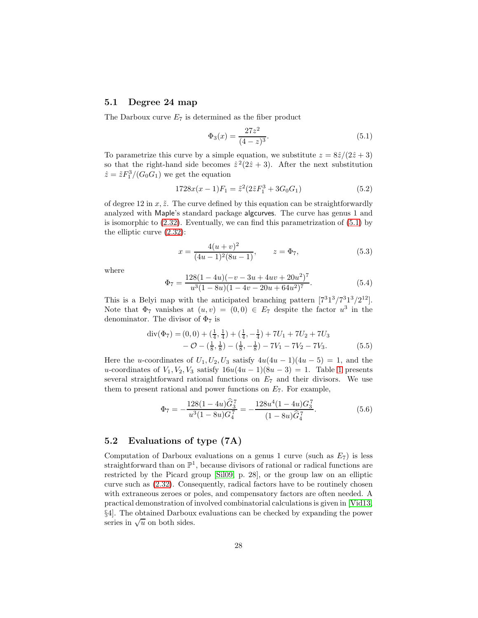### <span id="page-27-0"></span>5.1 Degree 24 map

The Darboux curve  $E_7$  is determined as the fiber product

<span id="page-27-1"></span>
$$
\Phi_3(x) = \frac{27z^2}{(4-z)^3}.\tag{5.1}
$$

To parametrize this curve by a simple equation, we substitute  $z = 8\hat{z}/(2\hat{z} + 3)$ so that the right-hand side becomes  $\hat{z}^2(2\hat{z}+3)$ . After the next substitution  $\hat{z} = \tilde{z} F_1^3 / (G_0 G_1)$  we get the equation

$$
1728x(x-1)F_1 = \tilde{z}^2(2\tilde{z}F_1^3 + 3G_0G_1)
$$
\n(5.2)

of degree 12 in  $x, \tilde{z}$ . The curve defined by this equation can be straightforwardly analyzed with Maple's standard package algcurves. The curve has genus 1 and is isomorphic to [\(2.32\)](#page-12-0). Eventually, we can find this parametrization of [\(5.1\)](#page-27-1) by the elliptic curve [\(2.32\)](#page-12-0):

$$
x = \frac{4(u+v)^2}{(4u-1)^2(8u-1)}, \qquad z = \Phi_7,
$$
 (5.3)

where

$$
\Phi_7 = \frac{128(1 - 4u)(-v - 3u + 4uv + 20u^2)^7}{u^3(1 - 8u)(1 - 4v - 20u + 64u^2)^7}.
$$
\n(5.4)

This is a Belyi map with the anticipated branching pattern  $[7^31^3/7^31^3/2^{12}]$ . Note that  $\Phi_7$  vanishes at  $(u, v) = (0, 0) \in E_7$  despite the factor  $u^3$  in the denominator. The divisor of  $\Phi_7$  is

$$
\begin{aligned} \operatorname{div}(\Phi_7) &= (0,0) + \left(\frac{1}{4}, \frac{1}{4}\right) + \left(\frac{1}{4}, -\frac{1}{4}\right) + 7U_1 + 7U_2 + 7U_3 \\ &- \mathcal{O} - \left(\frac{1}{8}, \frac{1}{8}\right) - \left(\frac{1}{8}, -\frac{1}{8}\right) - 7V_1 - 7V_2 - 7V_3. \end{aligned} \tag{5.5}
$$

Here the u-coordinates of  $U_1, U_2, U_3$  satisfy  $4u(4u - 1)(4u - 5) = 1$ , and the u-coordinates of  $V_1, V_2, V_3$  satisfy  $16u(4u-1)(8u-3) = 1$  $16u(4u-1)(8u-3) = 1$ . Table 1 presents several straightforward rational functions on  $E<sub>7</sub>$  and their divisors. We use them to present rational and power functions on  $E_7$ . For example,

$$
\Phi_7 = -\frac{128(1 - 4u)\hat{G}_3^7}{u^3(1 - 8u)G_4^7} = -\frac{128u^4(1 - 4u)G_3^7}{(1 - 8u)\hat{G}_4^7}.
$$
\n(5.6)

### 5.2 Evaluations of type (7A)

Computation of Darboux evaluations on a genus 1 curve (such as  $E_7$ ) is less straightforward than on  $\mathbb{P}^1$ , because divisors of rational or radical functions are restricted by the Picard group [\[Sil09,](#page-36-13) p. 28], or the group law on an elliptic curve such as [\(2.32\)](#page-12-0). Consequently, radical factors have to be routinely chosen with extraneous zeroes or poles, and compensatory factors are often needed. A practical demonstration of involved combinatorial calculations is given in [\[Vid13,](#page-36-0) §4]. The obtained Darboux evaluations can be checked by expanding the power series in  $\sqrt{u}$  on both sides.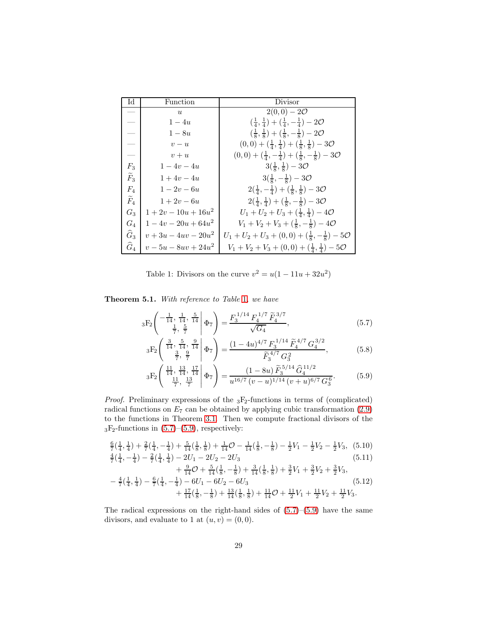| IЧ                | Function               | Divisor                                                                            |
|-------------------|------------------------|------------------------------------------------------------------------------------|
|                   | $\boldsymbol{u}$       | $2(0,0) - 20$                                                                      |
|                   | $1-4u$                 | $(\frac{1}{4}, \frac{1}{4}) + (\frac{1}{4}, -\frac{1}{4}) - 2\mathcal{O}$          |
|                   | $1-8u$                 | $(\frac{1}{8}, \frac{1}{8}) + (\frac{1}{8}, -\frac{1}{8}) - 2\mathcal{O}$          |
|                   | $v - u$                | $(0,0) + (\frac{1}{4}, \frac{1}{4}) + (\frac{1}{8}, \frac{1}{8}) - 30$             |
|                   | $v+u$                  | $(0,0) + (\frac{1}{4}, -\frac{1}{4}) + (\frac{1}{8}, -\frac{1}{8}) - 3\mathcal{O}$ |
| $F_3$             | $1-4v-4u$              | $3(\frac{1}{8},\frac{1}{8})-30$                                                    |
| $\widetilde{F}_3$ | $1 + 4v - 4u$          | $3(\frac{1}{8},-\frac{1}{8})-30$                                                   |
| $F_4$             | $1 - 2v - 6u$          | $2(\frac{1}{4},-\frac{1}{4})+(\frac{1}{8},\frac{1}{8})-3\mathcal{O}$               |
| $\widetilde{F}_4$ | $1 + 2v - 6u$          | $2(\frac{1}{4},\frac{1}{4})+(\frac{1}{8},-\frac{1}{8})-3\mathcal{O}$               |
| $G_3$             | $1+2v-10u+16u^2$       | $U_1 + U_2 + U_3 + (\frac{1}{4}, \frac{1}{4}) - 40$                                |
| $G_4$             | $1-4v-20u+64u^2$       | $V_1 + V_2 + V_3 + (\frac{1}{8}, -\frac{1}{8}) - 40$                               |
| $\widehat{G}_3$   | $v + 3u - 4uv - 20u^2$ | $U_1 + U_2 + U_3 + (0,0) + (\frac{1}{8}, -\frac{1}{8}) - 5\mathcal{O}$             |
| $\widehat{G}_4$   | $v-5u-8uv+24u^2$       | $V_1 + V_2 + V_3 + (0,0) + (\frac{1}{4},\frac{1}{4}) - 5\mathcal{O}$               |

<span id="page-28-0"></span>Table 1: Divisors on the curve  $v^2 = u(1 - 11u + 32u^2)$ 

<span id="page-28-4"></span>Theorem 5.1. With reference to Table [1](#page-28-0), we have

$$
{}_{3}F_{2}\left(\begin{array}{cc|cc} -\frac{1}{14}, & \frac{1}{14}, & \frac{5}{14} \\ \frac{1}{7}, & \frac{5}{7} \end{array}\middle|\Phi_{7}\right) = \frac{F_{3}^{1/14} F_{4}^{1/7} \widetilde{F}_{4}^{3/7}}{\sqrt{G_{4}}},\tag{5.7}
$$

<span id="page-28-2"></span><span id="page-28-1"></span>
$$
{}_{3}F_{2}\left(\begin{array}{c} \frac{3}{14}, \frac{5}{14}, \frac{9}{14} \\ \frac{3}{7}, \frac{9}{7} \end{array}\middle| \Phi_{7}\right) = \frac{(1 - 4u)^{4/7} F_{3}^{1/14} \tilde{F}_{4}^{4/7} G_{4}^{3/2}}{\tilde{F}_{3}^{4/7} G_{3}^{2}},
$$
(5.8)

<span id="page-28-3"></span>
$$
{}_{3}F_{2}\left(\begin{array}{c} \frac{11}{14}, \frac{13}{14}, \frac{17}{14} \\ \frac{11}{7}, \frac{13}{7} \end{array}\middle|\Phi_{7}\right) = \frac{(1-8u)\widetilde{F}_{3}^{5/14}\widehat{G}_{4}^{11/2}}{u^{16/7}(v-u)^{1/14}(v+u)^{6/7}G_{3}^{6}}.
$$
(5.9)

*Proof.* Preliminary expressions of the  ${}_{3}F_{2}$ -functions in terms of (complicated) radical functions on  $E_7$  can be obtained by applying cubic transformation [\(2.9\)](#page-5-0) to the functions in Theorem [3.1.](#page-13-5) Then we compute fractional divisors of the  $_3F_2$ -functions in  $(5.7)$ – $(5.9)$ , respectively:

$$
\frac{6}{7}(\frac{1}{4}, \frac{1}{4}) + \frac{2}{7}(\frac{1}{4}, -\frac{1}{4}) + \frac{5}{14}(\frac{1}{8}, \frac{1}{8}) + \frac{1}{14}O - \frac{1}{14}(\frac{1}{8}, -\frac{1}{8}) - \frac{1}{2}V_1 - \frac{1}{2}V_2 - \frac{1}{2}V_3, (5.10)\n\frac{4}{7}(\frac{1}{4}, -\frac{1}{4}) - \frac{2}{7}(\frac{1}{4}, \frac{1}{4}) - 2U_1 - 2U_2 - 2U_3
$$
\n(5.11)

$$
+\frac{9}{14}\mathcal{O}+\frac{5}{14}\left(\frac{1}{8},-\frac{1}{8}\right)+\frac{3}{14}\left(\frac{1}{8},\frac{1}{8}\right)+\frac{3}{2}V_1+\frac{3}{2}V_2+\frac{3}{2}V_3,
$$
\n
$$
-\frac{4}{7}\left(\frac{1}{4},\frac{1}{4}\right)-\frac{6}{7}\left(\frac{1}{4},-\frac{1}{4}\right)-6U_1-6U_2-6U_3
$$
\n
$$
+\frac{17}{14}\left(\frac{1}{8},-\frac{1}{8}\right)+\frac{13}{14}\left(\frac{1}{8},\frac{1}{8}\right)+\frac{11}{14}\mathcal{O}+\frac{11}{2}V_1+\frac{11}{2}V_2+\frac{11}{2}V_3.
$$
\n(5.12)

The radical expressions on the right-hand sides of  $(5.7)$ – $(5.9)$  have the same divisors, and evaluate to 1 at  $(u, v) = (0, 0)$ .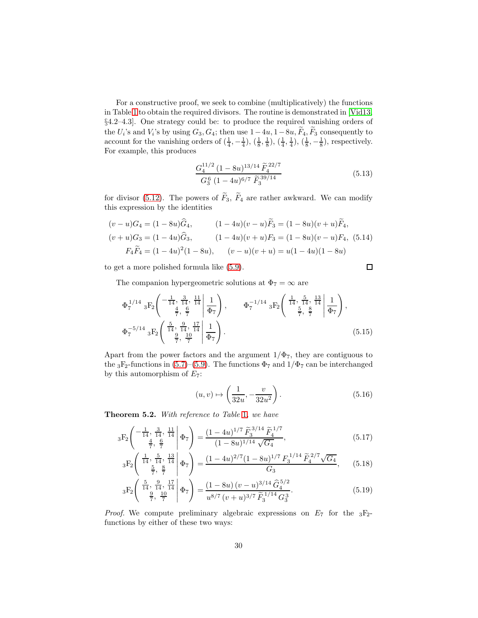For a constructive proof, we seek to combine (multiplicatively) the functions in Table [1](#page-28-0) to obtain the required divisors. The routine is demonstrated in [\[Vid13,](#page-36-0) §4.2–4.3]. One strategy could be: to produce the required vanishing orders of the  $U_i$ 's and  $V_i$ 's by using  $G_3, G_4$ ; then use  $1-4u, 1-8u, F_4, F_3$  consequently to account for the vanishing orders of  $(\frac{1}{4}, -\frac{1}{4})$ ,  $(\frac{1}{8}, \frac{1}{8})$ ,  $(\frac{1}{4}, \frac{1}{4})$ ,  $(\frac{1}{8}, -\frac{1}{8})$ , respectively. For example, this produces

$$
\frac{G_4^{11/2} (1 - 8u)^{13/14} \tilde{F}_4^{22/7}}{G_3^6 (1 - 4u)^{6/7} \tilde{F}_3^{39/14}}
$$
(5.13)

for divisor [\(5.12\)](#page-28-3). The powers of  $\widetilde{F}_3$ ,  $\widetilde{F}_4$  are rather awkward. We can modify this expression by the identities

$$
(v - u)G_4 = (1 - 8u)\hat{G}_4, \qquad (1 - 4u)(v - u)\tilde{F}_3 = (1 - 8u)(v + u)\tilde{F}_4,
$$
  
\n
$$
(v + u)G_3 = (1 - 4u)\hat{G}_3, \qquad (1 - 4u)(v + u)F_3 = (1 - 8u)(v - u)F_4, \quad (5.14)
$$
  
\n
$$
F_4\tilde{F}_4 = (1 - 4u)^2(1 - 8u), \qquad (v - u)(v + u) = u(1 - 4u)(1 - 8u)
$$

to get a more polished formula like [\(5.9\)](#page-28-2).

 $\Box$ 

The companion hypergeometric solutions at  $\Phi_7 = \infty$  are

$$
\Phi_7^{1/14} {}_3F_2 \left( \begin{array}{ccc} -\frac{1}{14}, \frac{3}{14}, \frac{11}{14} & 1\\ \frac{4}{7}, \frac{6}{7} & \frac{1}{7} \end{array} \right), \qquad \Phi_7^{-1/14} {}_3F_2 \left( \begin{array}{ccc} \frac{1}{14}, \frac{5}{14}, \frac{13}{14} & 1\\ \frac{5}{7}, \frac{8}{7} & \frac{1}{7} \end{array} \right),
$$
\n
$$
\Phi_7^{-5/14} {}_3F_2 \left( \begin{array}{ccc} \frac{5}{14}, \frac{9}{14}, \frac{17}{14} & 1\\ \frac{9}{7}, \frac{10}{7} & \frac{1}{7} \end{array} \right).
$$
\n(5.15)

Apart from the power factors and the argument  $1/\Phi_7$ , they are contiguous to the <sub>3</sub>F<sub>2</sub>-functions in [\(5.7\)](#page-28-1)–[\(5.9\)](#page-28-2). The functions  $\Phi_7$  and  $1/\Phi_7$  can be interchanged by this automorphism of  $E_7$ :

<span id="page-29-2"></span><span id="page-29-1"></span><span id="page-29-0"></span>
$$
(u,v)\mapsto \left(\frac{1}{32u}, -\frac{v}{32u^2}\right). \tag{5.16}
$$

Theorem 5.2. With reference to Table [1](#page-28-0), we have

$$
{}_{3}F_{2}\left(\begin{array}{c} -\frac{1}{14}, \frac{3}{14}, \frac{11}{14} \\ \frac{4}{7}, \frac{6}{7} \end{array}\middle|\Phi_{7}\right) = \frac{(1-4u)^{1/7} \widetilde{F}_{3}^{3/14} \widetilde{F}_{4}^{1/7}}{(1-8u)^{1/14} \sqrt{G_{4}}},\tag{5.17}
$$

$$
{}_3F_2\left( \begin{array}{c|c} \frac{1}{14}, \frac{5}{14}, \frac{13}{14} \\ \frac{5}{7}, \frac{8}{7} \end{array} \middle| \Phi_7 \right) = \frac{(1 - 4u)^{2/7} (1 - 8u)^{1/7} F_3^{1/14} \tilde{F}_4^{2/7} \sqrt{G_4}}{G_3}, \quad (5.18)
$$

$$
{}_{3}F_{2}\left(\begin{array}{c} \frac{5}{14}, \frac{9}{14}, \frac{17}{14} \\ \frac{9}{7}, \frac{10}{7} \end{array}\middle|\Phi_{7}\right) = \frac{(1 - 8u)(v - u)^{3/14} \hat{G}_{4}^{5/2}}{u^{8/7} (v + u)^{3/7} \tilde{F}_{3}^{1/14} G_{3}^{3}}.
$$
(5.19)

*Proof.* We compute preliminary algebraic expressions on  $E_7$  for the  $_3F_2$ functions by either of these two ways: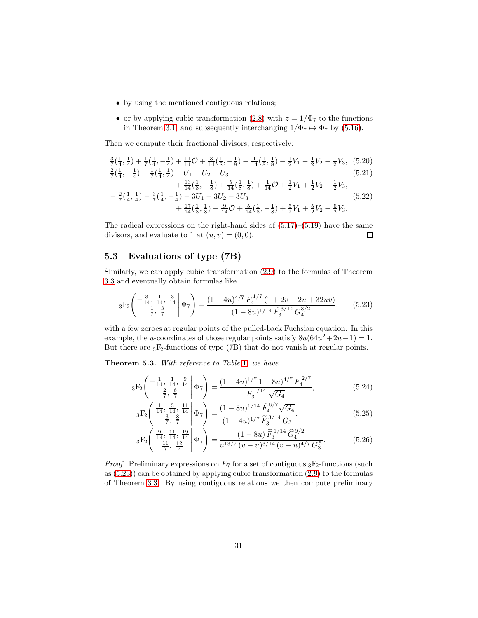- by using the mentioned contiguous relations;
- or by applying cubic transformation [\(2.8\)](#page-5-2) with  $z = 1/\Phi_7$  to the functions in Theorem [3.1,](#page-13-5) and subsequently interchanging  $1/\Phi_7 \mapsto \Phi_7$  by [\(5.16\)](#page-29-0).

Then we compute their fractional divisors, respectively:

$$
\frac{3}{7}(\frac{1}{4}, \frac{1}{4}) + \frac{1}{7}(\frac{1}{4}, -\frac{1}{4}) + \frac{11}{14}O + \frac{3}{14}(\frac{1}{8}, -\frac{1}{8}) - \frac{1}{14}(\frac{1}{8}, \frac{1}{8}) - \frac{1}{2}V_1 - \frac{1}{2}V_2 - \frac{1}{2}V_3, (5.20)
$$
\n
$$
\frac{2}{7}(\frac{1}{4}, -\frac{1}{4}) - \frac{1}{7}(\frac{1}{4}, \frac{1}{4}) - U_1 - U_2 - U_3
$$
\n
$$
+ \frac{13}{14}(\frac{1}{8}, -\frac{1}{8}) + \frac{5}{14}(\frac{1}{8}, \frac{1}{8}) + \frac{1}{14}O + \frac{1}{2}V_1 + \frac{1}{2}V_2 + \frac{1}{2}V_3,
$$
\n
$$
- \frac{2}{7}(\frac{1}{4}, \frac{1}{4}) - \frac{3}{7}(\frac{1}{4}, -\frac{1}{4}) - 3U_1 - 3U_2 - 3U_3
$$
\n
$$
+ \frac{17}{14}(\frac{1}{8}, \frac{1}{8}) + \frac{9}{14}O + \frac{5}{14}(\frac{1}{8}, -\frac{1}{8}) + \frac{5}{2}V_1 + \frac{5}{2}V_2 + \frac{5}{2}V_3.
$$
\n(5.22)

The radical expressions on the right-hand sides of  $(5.17)$ – $(5.19)$  have the same divisors, and evaluate to 1 at  $(u, v) = (0, 0)$ .  $\Box$ 

### 5.3 Evaluations of type (7B)

Similarly, we can apply cubic transformation [\(2.9\)](#page-5-0) to the formulas of Theorem [3.3](#page-17-1) and eventually obtain formulas like

<span id="page-30-0"></span>
$$
{}_3F_2\left( \begin{array}{rr} -\frac{3}{14}, \frac{1}{14}, \frac{3}{14} \\ \frac{1}{7}, \frac{3}{7} \end{array} \middle| \Phi_7 \right) = \frac{(1 - 4u)^{4/7} F_4^{1/7} (1 + 2v - 2u + 32uv)}{(1 - 8u)^{1/14} \tilde{F}_3^{3/14} G_4^{3/2}}, \qquad (5.23)
$$

with a few zeroes at regular points of the pulled-back Fuchsian equation. In this example, the u-coordinates of those regular points satisfy  $8u(64u^2 + 2u - 1) = 1$ . But there are  ${}_3F_2$ -functions of type (7B) that do not vanish at regular points.

<span id="page-30-4"></span>Theorem 5.3. With reference to Table [1](#page-28-0), we have

$$
{}_3F_2\left( \begin{array}{rrr} \frac{1}{14}, \frac{1}{14}, \frac{9}{14} \\ \frac{2}{7}, \frac{6}{7} \end{array} \middle| \Phi_7 \right) = \frac{(1 - 4u)^{1/7} 1 - 8u)^{4/7} F_4^{2/7}}{F_3^{1/14} \sqrt{G_4}}, \tag{5.24}
$$

<span id="page-30-3"></span><span id="page-30-2"></span><span id="page-30-1"></span>
$$
{}_{3}F_{2}\left(\begin{array}{c} \frac{1}{14}, \frac{3}{14}, \frac{11}{14} \\ \frac{3}{7}, \frac{8}{7} \end{array} \middle| \Phi_{7}\right) = \frac{(1 - 8u)^{1/14} \tilde{F}_{4}^{6/7} \sqrt{G_{4}}}{(1 - 4u)^{1/7} \tilde{F}_{3}^{3/14} G_{3}},\tag{5.25}
$$

$$
{}_3F_2\left( \begin{array}{c} \frac{9}{14}, \frac{11}{14}, \frac{19}{14} \\ \frac{11}{7}, \frac{12}{7} \end{array} \middle| \Phi_7 \right) = \frac{(1 - 8u)\,\widetilde{F}_3^{1/14}\,\widehat{G}_4^{9/2}}{u^{13/7}\,(v - u)^{3/14}\,(v + u)^{4/7}\,G_3^5}.\tag{5.26}
$$

*Proof.* Preliminary expressions on  $E_7$  for a set of contiguous  ${}_3F_2$ -functions (such as  $(5.23)$  can be obtained by applying cubic transformation  $(2.9)$  to the formulas of Theorem [3.3.](#page-17-1) By using contiguous relations we then compute preliminary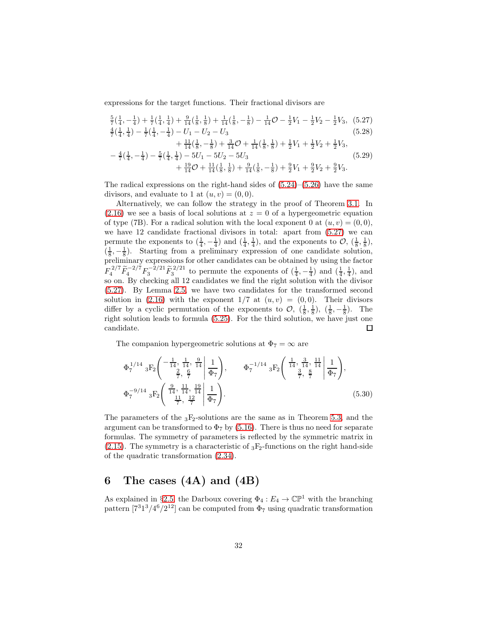expressions for the target functions. Their fractional divisors are

$$
\frac{5}{7}(\frac{1}{4}, -\frac{1}{4}) + \frac{1}{7}(\frac{1}{4}, \frac{1}{4}) + \frac{9}{14}(\frac{1}{8}, \frac{1}{8}) + \frac{1}{14}(\frac{1}{8}, -\frac{1}{8}) - \frac{1}{14}O - \frac{1}{2}V_1 - \frac{1}{2}V_2 - \frac{1}{2}V_3, (5.27)
$$
  
\n
$$
\frac{4}{7}(\frac{1}{4}, \frac{1}{4}) - \frac{1}{7}(\frac{1}{4}, -\frac{1}{4}) - U_1 - U_2 - U_3
$$
\n(5.28)

<span id="page-31-1"></span>
$$
+\frac{11}{14}(\frac{1}{8}, -\frac{1}{8}) + \frac{3}{14}\mathcal{O} + \frac{1}{14}(\frac{1}{8}, \frac{1}{8}) + \frac{1}{2}V_1 + \frac{1}{2}V_2 + \frac{1}{2}V_3,
$$
  

$$
-\frac{4}{7}(\frac{1}{4}, -\frac{1}{4}) - \frac{5}{7}(\frac{1}{4}, \frac{1}{4}) - 5U_1 - 5U_2 - 5U_3
$$
  

$$
+\frac{19}{14}\mathcal{O} + \frac{11}{14}(\frac{1}{8}, \frac{1}{8}) + \frac{9}{14}(\frac{1}{8}, -\frac{1}{8}) + \frac{9}{2}V_1 + \frac{9}{2}V_2 + \frac{9}{2}V_3.
$$

$$
(5.29)
$$

The radical expressions on the right-hand sides of  $(5.24)$ – $(5.26)$  have the same divisors, and evaluate to 1 at  $(u, v) = (0, 0)$ .

Alternatively, we can follow the strategy in the proof of Theorem [3.1.](#page-13-5) In  $(2.16)$  we see a basis of local solutions at  $z = 0$  of a hypergeometric equation of type (7B). For a radical solution with the local exponent 0 at  $(u, v) = (0, 0)$ , we have 12 candidate fractional divisors in total: apart from [\(5.27\)](#page-31-1) we can permute the exponents to  $(\frac{1}{4}, -\frac{1}{4})$  and  $(\frac{1}{4}, \frac{1}{4})$ , and the exponents to  $\mathcal{O}$ ,  $(\frac{1}{8}, \frac{1}{8})$ ,  $(\frac{1}{8}, -\frac{1}{8})$ . Starting from a preliminary expression of one candidate solution, preliminary expressions for other candidates can be obtained by using the factor  $F_4^{2/7} \tilde{F}_4^{-2/7} F_3^{-2/21} \tilde{F}_3^{2/21}$  to permute the exponents of  $(\frac{1}{4}, -\frac{1}{4})$  and  $(\frac{1}{4}, \frac{1}{4})$ , and so on. By checking all 12 candidates we find the right solution with the divisor [\(5.27\)](#page-31-1). By Lemma [2.5,](#page-10-1) we have two candidates for the transformed second solution in [\(2.16\)](#page-7-1) with the exponent  $1/7$  at  $(u, v) = (0, 0)$ . Their divisors differ by a cyclic permutation of the exponents to  $\mathcal{O}, (\frac{1}{8}, \frac{1}{8}), (\frac{1}{8}, -\frac{1}{8})$ . The right solution leads to formula [\(5.25\)](#page-30-3). For the third solution, we have just one candidate.  $\Box$ 

The companion hypergeometric solutions at  $\Phi_7 = \infty$  are

$$
\Phi_7^{1/14} {}_3F_2 \left( \begin{array}{ccc} -\frac{1}{14}, \frac{1}{14}, \frac{9}{14} & 1\\ \frac{2}{7}, \frac{6}{7} & \frac{1}{7} \end{array} \middle| \frac{1}{\Phi_7} \right), \qquad \Phi_7^{-1/14} {}_3F_2 \left( \begin{array}{ccc} \frac{1}{14}, \frac{3}{14}, \frac{11}{14} & 1\\ \frac{3}{7}, \frac{8}{7} & \frac{1}{7} \end{array} \middle| \frac{1}{\Phi_7} \right),
$$
\n
$$
\Phi_7^{-9/14} {}_3F_2 \left( \begin{array}{ccc} \frac{9}{14}, \frac{11}{14}, \frac{19}{14} & 1\\ \frac{11}{7}, \frac{12}{7} & \Phi_7 \end{array} \right).
$$
\n(5.30)

The parameters of the  ${}_{3}F_{2}$ -solutions are the same as in Theorem [5.3,](#page-30-4) and the argument can be transformed to  $\Phi_7$  by [\(5.16\)](#page-29-0). There is thus no need for separate formulas. The symmetry of parameters is reflected by the symmetric matrix in [\(2.15\)](#page-7-2). The symmetry is a characteristic of  ${}_{3}F_{2}$ -functions on the right hand-side of the quadratic transformation [\(2.34\)](#page-12-2).

# <span id="page-31-0"></span>6 The cases  $(4A)$  and  $(4B)$

As explained in §[2.5,](#page-11-1) the Darboux covering  $\Phi_4: E_4 \to \mathbb{CP}^1$  with the branching pattern  $[7^31^3/4^6/2^{12}]$  can be computed from  $\Phi_7$  using quadratic transformation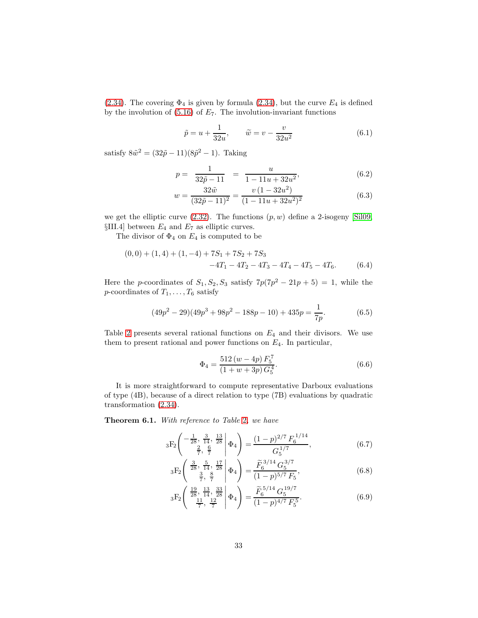[\(2.34\)](#page-12-2). The covering  $\Phi_4$  is given by formula [\(2.34\)](#page-12-2), but the curve  $E_4$  is defined by the involution of  $(5.16)$  of  $E_7$ . The involution-invariant functions

$$
\tilde{p} = u + \frac{1}{32u}, \qquad \tilde{w} = v - \frac{v}{32u^2}
$$
\n(6.1)

satisfy  $8\tilde{w}^2 = (32\tilde{p} - 11)(8\tilde{p}^2 - 1)$ . Taking

$$
p = \frac{1}{32\tilde{p} - 11} = \frac{u}{1 - 11u + 32u^2},
$$
(6.2)

$$
w = \frac{32\tilde{w}}{(32\tilde{p} - 11)^2} = \frac{v(1 - 32u^2)}{(1 - 11u + 32u^2)^2}
$$
(6.3)

we get the elliptic curve  $(2.32)$ . The functions  $(p, w)$  define a 2-isogeny [\[Sil09,](#page-36-13)  $\S$ III.4] between  $E_4$  and  $E_7$  as elliptic curves.

The divisor of  $\Phi_4$  on  $E_4$  is computed to be

$$
(0,0) + (1,4) + (1,-4) + 7S_1 + 7S_2 + 7S_3
$$
  
-4T<sub>1</sub> - 4T<sub>2</sub> - 4T<sub>3</sub> - 4T<sub>4</sub> - 4T<sub>5</sub> - 4T<sub>6</sub>. (6.4)

Here the p-coordinates of  $S_1, S_2, S_3$  satisfy  $7p(7p^2 - 21p + 5) = 1$ , while the *p*-coordinates of  $T_1, \ldots, T_6$  satisfy

<span id="page-32-2"></span>
$$
(49p2 - 29)(49p3 + 98p2 - 188p - 10) + 435p = \frac{1}{7p}.
$$
 (6.5)

Table [2](#page-33-0) presents several rational functions on  $E_4$  and their divisors. We use them to present rational and power functions on  $E_4$ . In particular,

<span id="page-32-0"></span>
$$
\Phi_4 = \frac{512 (w - 4p) F_5^7}{(1 + w + 3p) G_5^4}.
$$
\n(6.6)

It is more straightforward to compute representative Darboux evaluations of type (4B), because of a direct relation to type (7B) evaluations by quadratic transformation [\(2.34\)](#page-12-2).

Theorem 6.1. With reference to Table [2](#page-33-0), we have

$$
{}_{3}F_{2}\left(\begin{array}{c} -\frac{1}{28}, \frac{3}{14}, \frac{13}{28} \\ \frac{2}{7}, \frac{6}{7} \end{array} \middle| \Phi_{4} \right) = \frac{(1-p)^{2/7} F_{6}^{1/14}}{G_{5}^{1/7}}, \tag{6.7}
$$

$$
{}_{3}F_{2}\left(\begin{array}{c} \frac{3}{28}, \frac{5}{14}, \frac{17}{28} \\ \frac{3}{7}, \frac{8}{7} \end{array}\middle|\Phi_{4}\right) = \frac{\widetilde{F}_{6}^{3/14} G_{5}^{3/7}}{(1-p)^{5/7} F_{5}},\tag{6.8}
$$

<span id="page-32-1"></span>
$$
{}_{3}F_{2}\left(\begin{array}{c}\frac{19}{28},\frac{13}{14},\frac{33}{28}\\\frac{11}{7},\frac{12}{7}\end{array}\bigg|\Phi_{4}\right) = \frac{\widetilde{F}_{6}^{5/14}G_{5}^{19/7}}{(1-p)^{4/7}F_{5}^{5}}.
$$
(6.9)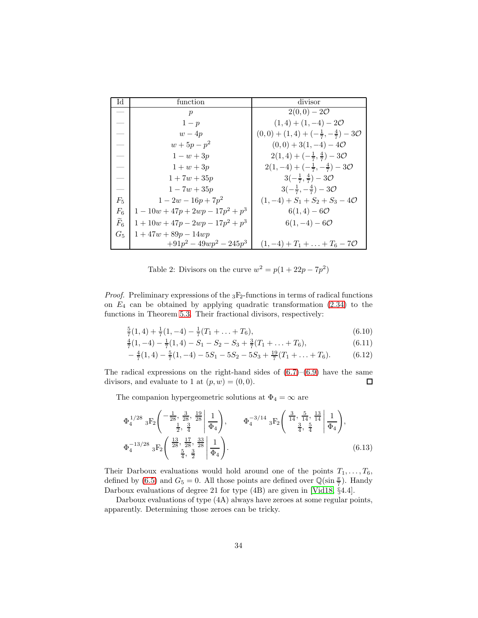| IЧ                | function                            | divisor                                                       |
|-------------------|-------------------------------------|---------------------------------------------------------------|
|                   | $\boldsymbol{p}$                    | $2(0,0) - 20$                                                 |
|                   | $1-p$                               | $(1,4) + (1,-4) - 20$                                         |
|                   | $w-4p$                              | $(0,0) + (1,4) + (-\frac{1}{7}, -\frac{4}{7}) - 3\mathcal{O}$ |
|                   | $w + 5p - p^2$                      | $(0,0) + 3(1,-4) - 40$                                        |
|                   | $1 - w + 3p$                        | $2(1,4)+(-\frac{1}{7},\frac{4}{7})-3\mathcal{O}$              |
|                   | $1+w+3p$                            | $2(1,-4)+(-\frac{1}{7},-\frac{4}{7})-3\mathcal{O}$            |
|                   | $1 + 7w + 35p$                      | $3(-\frac{1}{7}, \frac{4}{7})-30$                             |
|                   | $1 - 7w + 35p$                      | $3(-\frac{1}{7}, -\frac{4}{7})-3\mathcal{O}$                  |
| $F_5$             | $1-2w-16p+7p^2$                     | $(1,-4) + S_1 + S_2 + S_3 - 40$                               |
| $F_6$             | $1-10w+47p+2wp-17p^2+p^3$           | $6(1,4) - 60$                                                 |
| $\widetilde{F}_6$ | $1 + 10w + 47p - 2wp - 17p^2 + p^3$ | $6(1, -4) - 60$                                               |
| $G_5$             | $1 + 47w + 89p - 14wp$              |                                                               |
|                   | $+91p^2-49wp^2-245p^3$              | $(1,-4) + T_1 + \ldots + T_6 - 70$                            |

<span id="page-33-0"></span>Table 2: Divisors on the curve  $w^2 = p(1 + 22p - 7p^2)$ 

*Proof.* Preliminary expressions of the  ${}_{3}F_{2}$ -functions in terms of radical functions on  $E_4$  can be obtained by applying quadratic transformation  $(2.34)$  to the functions in Theorem [5.3.](#page-30-4) Their fractional divisors, respectively:

$$
\frac{5}{7}(1,4) + \frac{1}{7}(1,-4) - \frac{1}{7}(T_1 + \dots + T_6),\tag{6.10}
$$

$$
\frac{4}{7}(1,-4) - \frac{1}{7}(1,4) - S_1 - S_2 - S_3 + \frac{3}{7}(T_1 + \dots + T_6),
$$
\n(6.11)

$$
-\frac{4}{7}(1,4) - \frac{5}{7}(1,-4) - 5S_1 - 5S_2 - 5S_3 + \frac{19}{7}(T_1 + \dots + T_6). \tag{6.12}
$$

The radical expressions on the right-hand sides of  $(6.7)$ – $(6.9)$  have the same divisors, and evaluate to 1 at  $(p, w) = (0, 0)$ .  $\Box$ 

The companion hypergeometric solutions at  $\Phi_4 = \infty$  are

$$
\Phi_4^{1/28} {}_3F_2 \left( \begin{array}{ccc} -\frac{1}{28}, & \frac{3}{28}, & \frac{19}{28} \\ \frac{1}{2}, & \frac{3}{4} \end{array} \middle| \frac{1}{\Phi_4} \right), \qquad \Phi_4^{-3/14} {}_3F_2 \left( \begin{array}{ccc} \frac{3}{14}, & \frac{5}{14}, & \frac{13}{14} \\ \frac{3}{4}, & \frac{5}{4} \end{array} \middle| \frac{1}{\Phi_4} \right),
$$
  
\n
$$
\Phi_4^{-13/28} {}_3F_2 \left( \begin{array}{ccc} \frac{13}{28}, & \frac{17}{28}, & \frac{33}{28} \\ \frac{5}{4}, & \frac{3}{2} \end{array} \middle| \frac{1}{\Phi_4} \right).
$$
\n(6.13)

Their Darboux evaluations would hold around one of the points  $T_1, \ldots, T_6$ , defined by [\(6.5\)](#page-32-2) and  $G_5 = 0$ . All those points are defined over  $\mathbb{Q}(\sin \frac{\pi}{7})$ . Handy Darboux evaluations of degree 21 for type (4B) are given in [\[Vid18,](#page-36-3) §4.4].

Darboux evaluations of type (4A) always have zeroes at some regular points, apparently. Determining those zeroes can be tricky.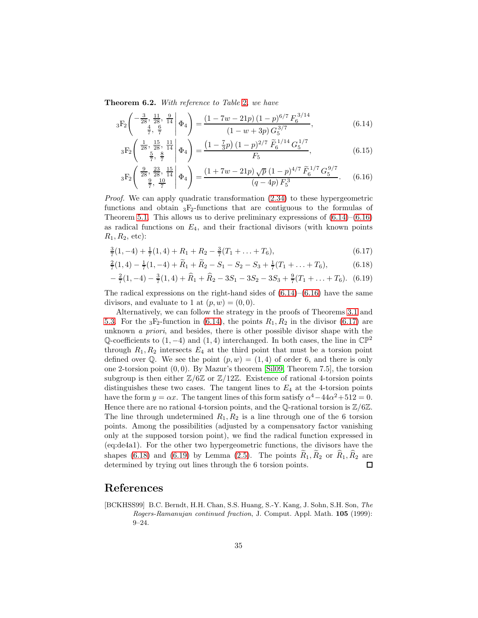**Theorem 6.[2](#page-33-0).** With reference to Table 2, we have

$$
{}_{3}F_{2}\left(-\frac{3}{28}, \frac{11}{28}, \frac{9}{14} \middle| \Phi_{4}\right) = \frac{(1 - 7w - 21p)(1 - p)^{6/7} F_{6}^{3/14}}{(1 - w + 3p) G_{5}^{3/7}},\tag{6.14}
$$

<span id="page-34-1"></span>
$$
{}_{3}F_{2}\left(\begin{array}{c} \frac{1}{28}, \frac{15}{28}, \frac{11}{14} \\ \frac{5}{7}, \frac{8}{7} \end{array}\middle| \Phi_{4}\right) = \frac{\left(1 - \frac{7}{3}p\right)\left(1 - p\right)^{2/7} \widetilde{F}_{6}^{1/14} G_{5}^{1/7}}{F_{5}},\tag{6.15}
$$

<span id="page-34-2"></span>
$$
{}_{3}F_{2}\left(\begin{array}{c} \frac{9}{28}, \frac{23}{28}, \frac{15}{14} \\ \frac{9}{7}, \frac{10}{7} \end{array}\middle| \Phi_{4}\right) = \frac{(1+7w-21p)\sqrt{p}(1-p)^{4/7} \widetilde{F}_{6}^{1/7} G_{5}^{9/7}}{(q-4p) F_{5}^{3}}.
$$
 (6.16)

Proof. We can apply quadratic transformation  $(2.34)$  to these hypergeometric functions and obtain  ${}_{3}F_{2}$ -functions that are contiguous to the formulas of Theorem [5.1.](#page-28-4) This allows us to derive preliminary expressions of  $(6.14)$ – $(6.16)$ as radical functions on  $E_4$ , and their fractional divisors (with known points  $R_1, R_2$ , etc):

<span id="page-34-3"></span>
$$
\frac{3}{7}(1,-4) + \frac{1}{7}(1,4) + R_1 + R_2 - \frac{3}{7}(T_1 + \dots + T_6),
$$
\n(6.17)

$$
\frac{2}{7}(1,4) - \frac{1}{7}(1,-4) + \widetilde{R}_1 + \widetilde{R}_2 - S_1 - S_2 - S_3 + \frac{1}{7}(T_1 + \dots + T_6),
$$
 (6.18)

<span id="page-34-5"></span><span id="page-34-4"></span>
$$
-\frac{2}{7}(1,-4)-\frac{3}{7}(1,4)+\widehat{R}_1+\widehat{R}_2-3S_1-3S_2-3S_3+\frac{9}{7}(T_1+\ldots+T_6). (6.19)
$$

The radical expressions on the right-hand sides of  $(6.14)$ – $(6.16)$  have the same divisors, and evaluate to 1 at  $(p, w) = (0, 0)$ .

Alternatively, we can follow the strategy in the proofs of Theorems [3.1](#page-13-5) and [5.3.](#page-30-4) For the  $_3F_2$ -function in [\(6.14\)](#page-34-1), the points  $R_1, R_2$  in the divisor [\(6.17\)](#page-34-3) are unknown a priori, and besides, there is other possible divisor shape with the Q-coefficients to  $(1, -4)$  and  $(1, 4)$  interchanged. In both cases, the line in  $\mathbb{CP}^2$ through  $R_1, R_2$  intersects  $E_4$  at the third point that must be a torsion point defined over Q. We see the point  $(p, w) = (1, 4)$  of order 6, and there is only one 2-torsion point (0, 0). By Mazur's theorem [\[Sil09,](#page-36-13) Theorem 7.5], the torsion subgroup is then either  $\mathbb{Z}/6\mathbb{Z}$  or  $\mathbb{Z}/12\mathbb{Z}$ . Existence of rational 4-torsion points distinguishes these two cases. The tangent lines to  $E_4$  at the 4-torsion points have the form  $y = \alpha x$ . The tangent lines of this form satisfy  $\alpha^4 - 44\alpha^2 + 512 = 0$ . Hence there are no rational 4-torsion points, and the Q-rational torsion is  $\mathbb{Z}/6\mathbb{Z}$ . The line through undetermined  $R_1, R_2$  is a line through one of the 6 torsion points. Among the possibilities (adjusted by a compensatory factor vanishing only at the supposed torsion point), we find the radical function expressed in (eq:de4a1). For the other two hypergeometric functions, the divisors have the shapes [\(6.18\)](#page-34-4) and [\(6.19\)](#page-34-5) by Lemma [\(2.5\)](#page-10-1). The points  $\tilde{R}_1$ ,  $\tilde{R}_2$  or  $\tilde{R}_1$ ,  $\tilde{R}_2$  are determined by trying out lines through the 6 torsion points. determined by trying out lines through the 6 torsion points.

### References

<span id="page-34-0"></span>[BCKHSS99] B.C. Berndt, H.H. Chan, S.S. Huang, S.-Y. Kang, J. Sohn, S.H. Son, The Rogers-Ramanujan continued fraction, J. Comput. Appl. Math. 105 (1999): 9–24.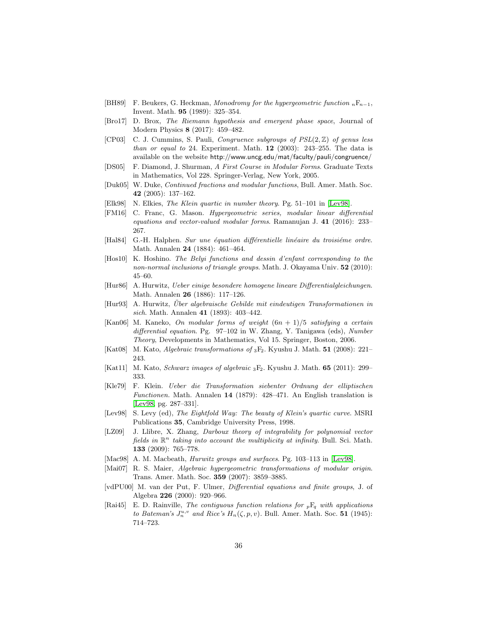- <span id="page-35-0"></span>[BH89] F. Beukers, G. Heckman, Monodromy for the hypergeometric function  $nF_{n-1}$ , Invent. Math. 95 (1989): 325–354.
- <span id="page-35-10"></span>[Bro17] D. Brox, The Riemann hypothesis and emergent phase space, Journal of Modern Physics 8 (2017): 459–482.
- <span id="page-35-19"></span>[CP03] C. J. Cummins, S. Pauli, *Congruence subgroups of PSL* $(2, \mathbb{Z})$  of genus less than or equal to 24. Experiment. Math.  $12$  (2003): 243–255. The data is available on the website http://www.uncg.edu/mat/faculty/pauli/congruence/
- <span id="page-35-17"></span>[DS05] F. Diamond, J. Shurman, A First Course in Modular Forms. Graduate Texts in Mathematics, Vol 228. Springer-Verlag, New York, 2005.
- <span id="page-35-11"></span>[Duk05] W. Duke, Continued fractions and modular functions, Bull. Amer. Math. Soc. 42 (2005): 137–162.
- <span id="page-35-7"></span>[Elk98] N. Elkies, The Klein quartic in number theory. Pg. 51–101 in [\[Lev98\]](#page-35-20).
- <span id="page-35-12"></span>[FM16] C. Franc, G. Mason. Hypergeometric series, modular linear differential equations and vector-valued modular forms. Ramanujan J. 41 (2016): 233– 267.
- <span id="page-35-5"></span>[Hal84] G.-H. Halphen. Sur une équation différentielle linéaire du troisiéme ordre. Math. Annalen 24 (1884): 461–464.
- <span id="page-35-8"></span>[Hos10] K. Hoshino. The Belyi functions and dessin d'enfant corresponding to the non-normal inclusions of triangle groups. Math. J. Okayama Univ.  $52$  (2010): 45–60.
- <span id="page-35-6"></span>[Hur86] A. Hurwitz, Ueber einige besondere homogene lineare Differentialgleichungen. Math. Annalen 26 (1886): 117–126.
- <span id="page-35-4"></span> $[Hur93]$  A. Hurwitz, Über algebraische Gebilde mit eindeutigen Transformationen in sich. Math. Annalen 41 (1893): 403–442.
- <span id="page-35-16"></span>[Kan06] M. Kaneko, On modular forms of weight  $(6n + 1)/5$  satisfying a certain differential equation. Pg. 97–102 in W. Zhang, Y. Tanigawa (eds), Number Theory, Developments in Mathematics, Vol 15. Springer, Boston, 2006.
- <span id="page-35-9"></span>[Kat08] M. Kato, *Algebraic transformations of*  $_3F_2$ . Kyushu J. Math. **51** (2008): 221– 243.
- <span id="page-35-1"></span>[Kat11] M. Kato, Schwarz images of algebraic 3F<sub>2</sub>. Kyushu J. Math. 65 (2011): 299– 333.
- <span id="page-35-14"></span>[Kle79] F. Klein. Ueber die Transformation siebenter Ordnung der elliptischen Functionen. Math. Annalen 14 (1879): 428–471. An English translation is [\[Lev98,](#page-35-20) pg. 287–331].
- <span id="page-35-20"></span>[Lev98] S. Levy (ed), The Eightfold Way: The beauty of Klein's quartic curve. MSRI Publications 35, Cambridge University Press, 1998.
- <span id="page-35-15"></span>[LZ09] J. Llibre, X. Zhang, Darboux theory of integrability for polynomial vector fields in  $\mathbb{R}^n$  taking into account the multiplicity at infinity. Bull. Sci. Math. 133 (2009): 765–778.
- <span id="page-35-3"></span>[Mac98] A. M. Macbeath, *Hurwitz groups and surfaces*. Pg. 103-113 in [\[Lev98\]](#page-35-20).
- <span id="page-35-18"></span>[Mai07] R. S. Maier, Algebraic hypergeometric transformations of modular origin. Trans. Amer. Math. Soc. 359 (2007): 3859–3885.
- <span id="page-35-2"></span>[vdPU00] M. van der Put, F. Ulmer, *Differential equations and finite groups*, J. of Algebra 226 (2000): 920–966.
- <span id="page-35-13"></span>[Rai45] E. D. Rainville, The contiguous function relations for  ${}_{p}F_{q}$  with applications to Bateman's  $J_n^{u,v}$  and Rice's  $H_n(\zeta, p, v)$ . Bull. Amer. Math. Soc. 51 (1945): 714–723.